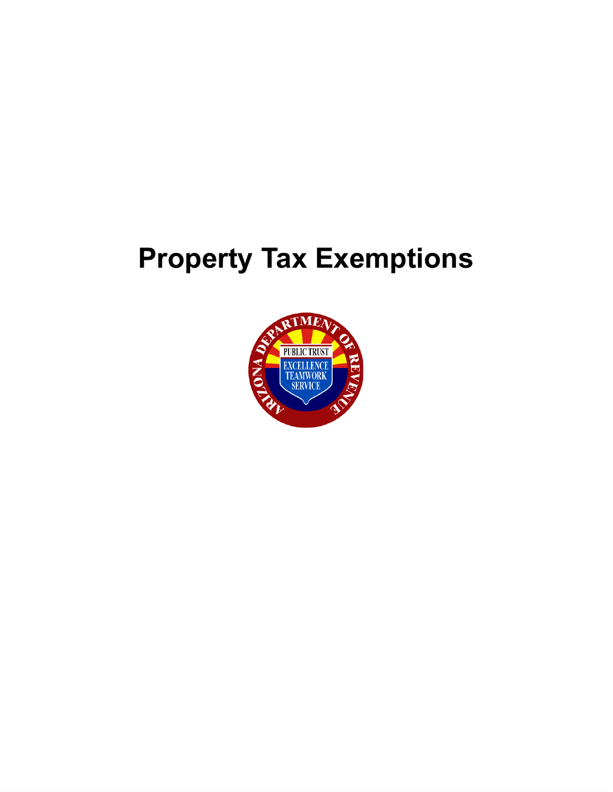# **Property Tax Exemptions**

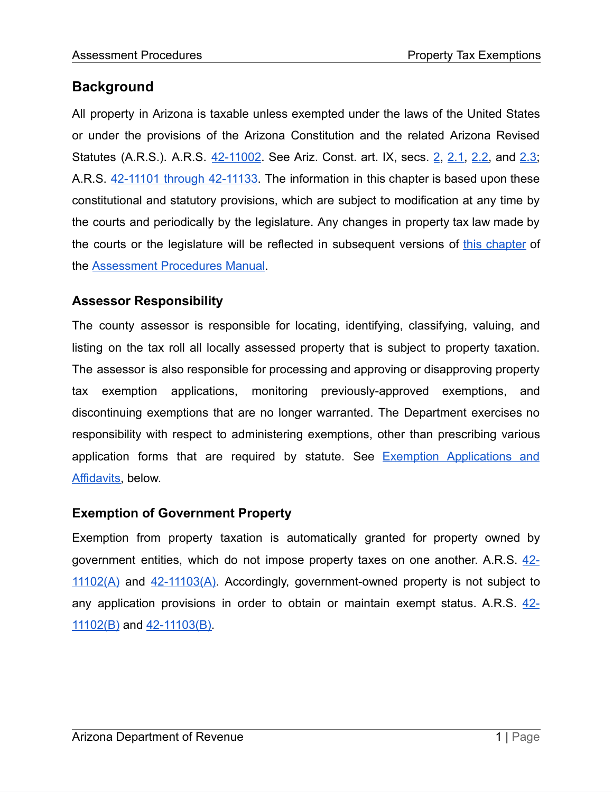# **Background**

All property in Arizona is taxable unless exempted under the laws of the United States or under the provisions of the Arizona Constitution and the related Arizona Revised Statutes (A.R.S.). A.R.S. [42-11002](https://www.azleg.gov/viewdocument/?docName=https://www.azleg.gov/ars/42/11002.htm). See Ariz. Const. art. IX, secs. [2,](https://www.azleg.gov/viewDocument/?docName=http://www.azleg.gov/const/9/2.htm) [2.1,](https://www.azleg.gov/viewDocument/?docName=http://www.azleg.gov/const/9/2_1.htm) [2.2,](https://www.azleg.gov/viewDocument/?docName=http://www.azleg.gov/const/9/2_2.htm) and [2.3](https://www.azleg.gov/viewDocument/?docName=http://www.azleg.gov/const/9/2_3.htm); A.R.S. [42-11101](https://www.azleg.gov/viewdocument/?docName=https://www.azleg.gov/ars/42/11101.htm) through 42-11133. The information in this chapter is based upon these constitutional and statutory provisions, which are subject to modification at any time by the courts and periodically by the legislature. Any changes in property tax law made by the courts or the legislature will be reflected in subsequent versions of this [chapter](https://azdor.gov/sites/default/files/media/PROPERTY_AssessmentPart1Ch4.pdf) of the [Assessment](https://azdor.gov/businesses-arizona/property-tax) Procedures Manual.

# **Assessor Responsibility**

The county assessor is responsible for locating, identifying, classifying, valuing, and listing on the tax roll all locally assessed property that is subject to property taxation. The assessor is also responsible for processing and approving or disapproving property tax exemption applications, monitoring previously-approved exemptions, and discontinuing exemptions that are no longer warranted. The Department exercises no responsibility with respect to administering exemptions, other than prescribing various application forms that are required by statute. See Exemption [Applications](#page-28-0) and [Affidavits,](#page-28-0) below.

# **Exemption of Government Property**

Exemption from property taxation is automatically granted for property owned by government entities, which do not impose property taxes on one another. A.R.S. [42-](https://www.azleg.gov/viewdocument/?docName=https://www.azleg.gov/ars/42/11102.htm)  $11102(A)$  and  $42-11103(A)$ . Accordingly, government-owned property is not subject to any application provisions in order to obtain or maintain exempt status. A.R.S. [42-](https://www.azleg.gov/viewdocument/?docName=https://www.azleg.gov/ars/42/11102.htm) [11102\(B\)](https://www.azleg.gov/viewdocument/?docName=https://www.azleg.gov/ars/42/11102.htm) and [42-11103\(B\).](https://www.azleg.gov/viewdocument/?docName=https://www.azleg.gov/ars/42/11103.htm)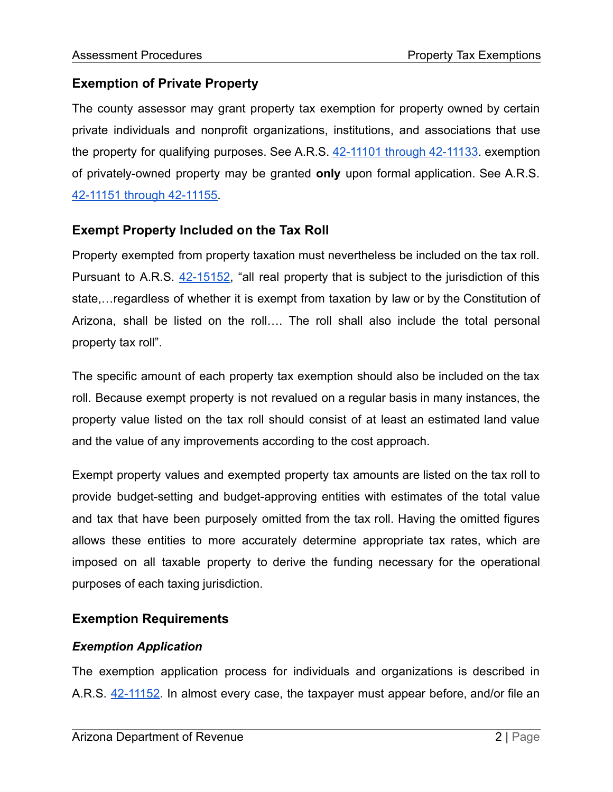# **Exemption of Private Property**

The county assessor may grant property tax exemption for property owned by certain private individuals and nonprofit organizations, institutions, and associations that use the property for qualifying purposes. See A.R.S. 42-11101 through [42-11133.](https://www.azleg.gov/viewdocument/?docName=https://www.azleg.gov/ars/42/11101.htm) exemption of privately-owned property may be granted **only** upon formal application. See A.R.S. 42-11151 through [42-11155.](https://www.azleg.gov/viewdocument/?docName=https://www.azleg.gov/ars/42/11151.htm)

# **Exempt Property Included on the Tax Roll**

Property exempted from property taxation must nevertheless be included on the tax roll. Pursuant to A.R.S. [42-15152,](https://www.azleg.gov/viewdocument/?docName=https://www.azleg.gov/ars/42/15152.htm) "all real property that is subject to the jurisdiction of this state,…regardless of whether it is exempt from taxation by law or by the Constitution of Arizona, shall be listed on the roll…. The roll shall also include the total personal property tax roll".

The specific amount of each property tax exemption should also be included on the tax roll. Because exempt property is not revalued on a regular basis in many instances, the property value listed on the tax roll should consist of at least an estimated land value and the value of any improvements according to the cost approach.

Exempt property values and exempted property tax amounts are listed on the tax roll to provide budget-setting and budget-approving entities with estimates of the total value and tax that have been purposely omitted from the tax roll. Having the omitted figures allows these entities to more accurately determine appropriate tax rates, which are imposed on all taxable property to derive the funding necessary for the operational purposes of each taxing jurisdiction.

# **Exemption Requirements**

# *Exemption Application*

The exemption application process for individuals and organizations is described in A.R.S. [42-11152.](https://www.azleg.gov/viewdocument/?docName=https://www.azleg.gov/ars/42/11152.htm) In almost every case, the taxpayer must appear before, and/or file an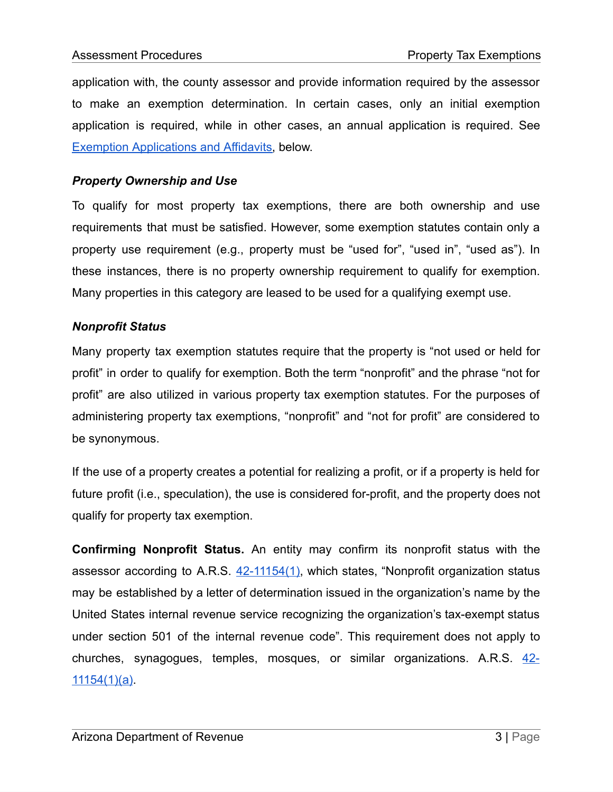application with, the county assessor and provide information required by the assessor to make an exemption determination. In certain cases, only an initial exemption application is required, while in other cases, an annual application is required. See Exemption [Applications](#page-28-0) and Affidavits, below.

# *Property Ownership and Use*

To qualify for most property tax exemptions, there are both ownership and use requirements that must be satisfied. However, some exemption statutes contain only a property use requirement (e.g., property must be "used for", "used in", "used as"). In these instances, there is no property ownership requirement to qualify for exemption. Many properties in this category are leased to be used for a qualifying exempt use.

# *Nonprofit Status*

Many property tax exemption statutes require that the property is "not used or held for profit" in order to qualify for exemption. Both the term "nonprofit" and the phrase "not for profit" are also utilized in various property tax exemption statutes. For the purposes of administering property tax exemptions, "nonprofit" and "not for profit" are considered to be synonymous.

If the use of a property creates a potential for realizing a profit, or if a property is held for future profit (i.e., speculation), the use is considered for-profit, and the property does not qualify for property tax exemption.

**Confirming Nonprofit Status.** An entity may confirm its nonprofit status with the assessor according to A.R.S. [42-11154\(1\),](https://www.azleg.gov/viewdocument/?docName=https://www.azleg.gov/ars/42/11154.htm) which states, "Nonprofit organization status may be established by a letter of determination issued in the organization's name by the United States internal revenue service recognizing the organization's tax-exempt status under section 501 of the internal revenue code". This requirement does not apply to churches, synagogues, temples, mosques, or similar organizations. A.R.S. [42-](https://www.azleg.gov/viewdocument/?docName=https://www.azleg.gov/ars/42/11154.htm) [11154\(1\)\(a\).](https://www.azleg.gov/viewdocument/?docName=https://www.azleg.gov/ars/42/11154.htm)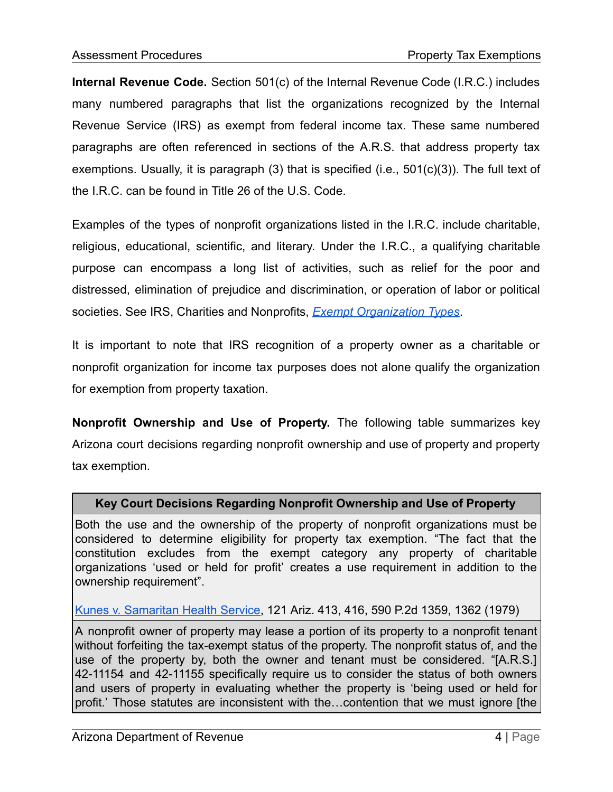**Internal Revenue Code.** Section 501(c) of the Internal Revenue Code (I.R.C.) includes many numbered paragraphs that list the organizations recognized by the Internal Revenue Service (IRS) as exempt from federal income tax. These same numbered paragraphs are often referenced in sections of the A.R.S. that address property tax exemptions. Usually, it is paragraph (3) that is specified (i.e., 501(c)(3)). The full text of the I.R.C. can be found in Title 26 of the U.S. Code.

Examples of the types of nonprofit organizations listed in the I.R.C. include charitable, religious, educational, scientific, and literary. Under the I.R.C., a qualifying charitable purpose can encompass a long list of activities, such as relief for the poor and distressed, elimination of prejudice and discrimination, or operation of labor or political societies. See IRS, Charities and Nonprofits, *Exempt [Organization](https://www.irs.gov/charities-non-profits/exempt-organization-types) Types*.

It is important to note that IRS recognition of a property owner as a charitable or nonprofit organization for income tax purposes does not alone qualify the organization for exemption from property taxation.

**Nonprofit Ownership and Use of Property.** The following table summarizes key Arizona court decisions regarding nonprofit ownership and use of property and property tax exemption.

#### **Key Court Decisions Regarding Nonprofit Ownership and Use of Property**

Both the use and the ownership of the property of nonprofit organizations must be considered to determine eligibility for property tax exemption. "The fact that the constitution excludes from the exempt category any property of charitable organizations 'used or held for profit' creates a use requirement in addition to the ownership requirement".

#### Kunes v. [Samaritan](https://www.leagle.com/decision/1979534121ariz4131424) Health Service, 121 Ariz. 413, 416, 590 P.2d 1359, 1362 (1979)

A nonprofit owner of property may lease a portion of its property to a nonprofit tenant without forfeiting the tax-exempt status of the property. The nonprofit status of, and the use of the property by, both the owner and tenant must be considered. "[A.R.S.] 42-11154 and 42-11155 specifically require us to consider the status of both owners and users of property in evaluating whether the property is 'being used or held for profit.' Those statutes are inconsistent with the…contention that we must ignore [the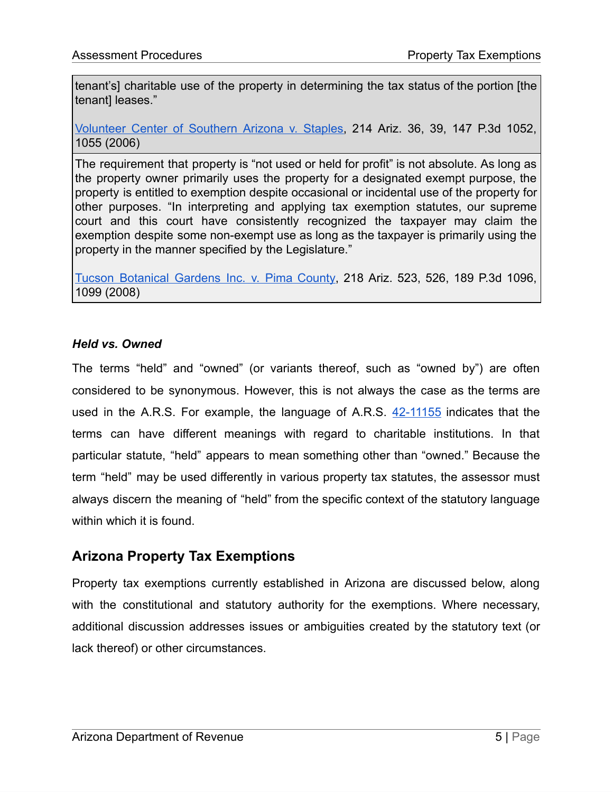tenant's] charitable use of the property in determining the tax status of the portion [the tenantI leases."

[Volunteer](https://caselaw.findlaw.com/az-court-of-appeals/1490711.html) Center of Southern Arizona v. Staples, 214 Ariz. 36, 39, 147 P.3d 1052, 1055 (2006)

The requirement that property is "not used or held for profit" is not absolute. As long as the property owner primarily uses the property for a designated exempt purpose, the property is entitled to exemption despite occasional or incidental use of the property for other purposes. "In interpreting and applying tax exemption statutes, our supreme court and this court have consistently recognized the taxpayer may claim the exemption despite some non-exempt use as long as the taxpayer is primarily using the property in the manner specified by the Legislature."

Tucson [Botanical](https://caselaw.findlaw.com/az-court-of-appeals/1244695.html) Gardens Inc. v. Pima County, 218 Ariz. 523, 526, 189 P.3d 1096, 1099 (2008)

# *Held vs. Owned*

The terms "held" and "owned" (or variants thereof, such as "owned by") are often considered to be synonymous. However, this is not always the case as the terms are used in the A.R.S. For example, the language of A.R.S. [42-11155](https://www.azleg.gov/viewdocument/?docName=https://www.azleg.gov/ars/42/11155.htm) indicates that the terms can have different meanings with regard to charitable institutions. In that particular statute, "held" appears to mean something other than "owned." Because the term "held" may be used differently in various property tax statutes, the assessor must always discern the meaning of "held" from the specific context of the statutory language within which it is found.

# **Arizona Property Tax Exemptions**

Property tax exemptions currently established in Arizona are discussed below, along with the constitutional and statutory authority for the exemptions. Where necessary, additional discussion addresses issues or ambiguities created by the statutory text (or lack thereof) or other circumstances.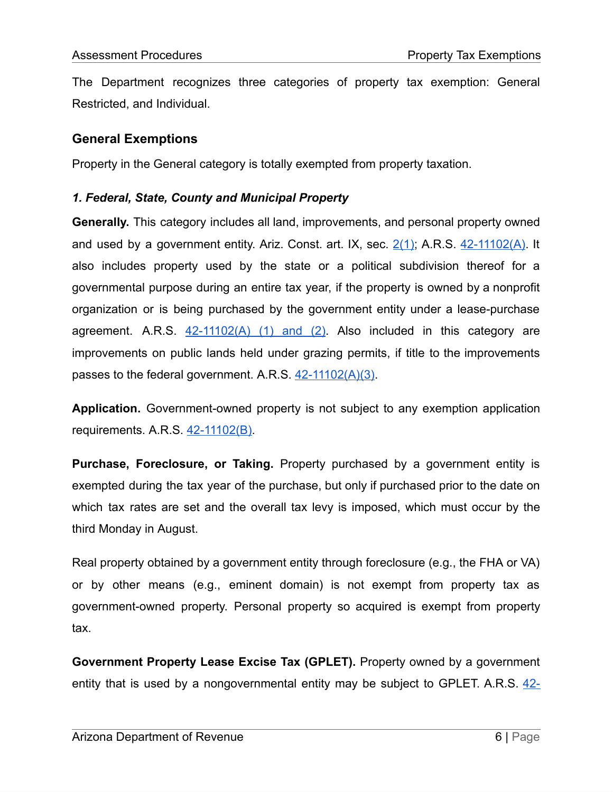The Department recognizes three categories of property tax exemption: General Restricted, and Individual.

# **General Exemptions**

Property in the General category is totally exempted from property taxation.

#### *1. Federal, State, County and Municipal Property*

**Generally.** This category includes all land, improvements, and personal property owned and used by a government entity. Ariz. Const. art. IX, sec. [2\(1\);](https://www.azleg.gov/viewDocument/?docName=http://www.azleg.gov/const/9/2.htm) A.R.S. [42-11102\(A\).](https://www.azleg.gov/viewdocument/?docName=https://www.azleg.gov/ars/42/11102.htm) It also includes property used by the state or a political subdivision thereof for a governmental purpose during an entire tax year, if the property is owned by a nonprofit organization or is being purchased by the government entity under a lease-purchase agreement. A.R.S.  $42-11102(A)$  (1) and (2). Also included in this category are improvements on public lands held under grazing permits, if title to the improvements passes to the federal government. A.R.S. [42-11102\(A\)\(3\)](https://www.azleg.gov/viewdocument/?docName=https://www.azleg.gov/ars/42/11102.htm).

**Application.** Government-owned property is not subject to any exemption application requirements. A.R.S. [42-11102\(B\).](https://www.azleg.gov/viewdocument/?docName=https://www.azleg.gov/ars/42/11102.htm)

**Purchase, Foreclosure, or Taking.** Property purchased by a government entity is exempted during the tax year of the purchase, but only if purchased prior to the date on which tax rates are set and the overall tax levy is imposed, which must occur by the third Monday in August.

Real property obtained by a government entity through foreclosure (e.g., the FHA or VA) or by other means (e.g., eminent domain) is not exempt from property tax as government-owned property. Personal property so acquired is exempt from property tax.

**Government Property Lease Excise Tax (GPLET).** Property owned by a government entity that is used by a nongovernmental entity may be subject to GPLET. A.R.S. [42-](https://www.azleg.gov/viewdocument/?docName=https://www.azleg.gov/ars/42/06201.htm)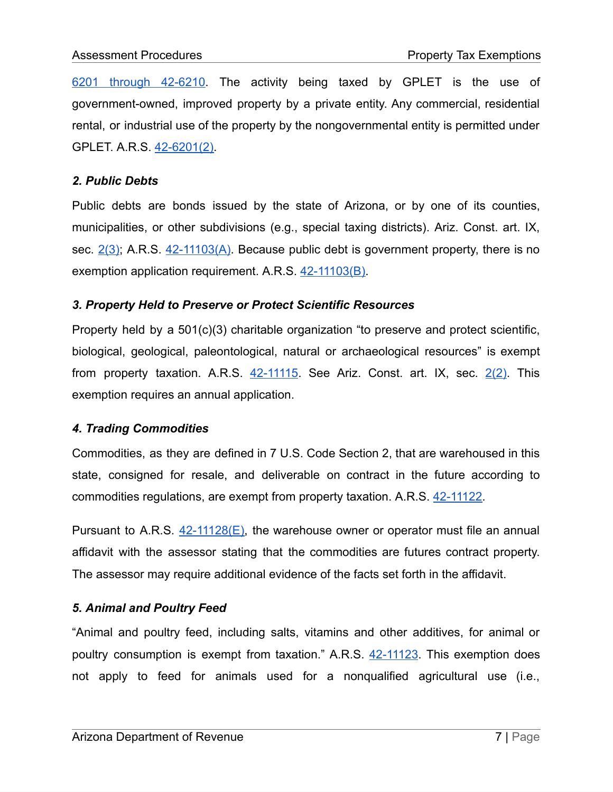6201 through [42-6210](https://www.azleg.gov/viewdocument/?docName=https://www.azleg.gov/ars/42/06201.htm). The activity being taxed by GPLET is the use of government-owned, improved property by a private entity. Any commercial, residential rental, or industrial use of the property by the nongovernmental entity is permitted under GPLET. A.R.S. [42-6201\(2\).](https://www.azleg.gov/viewdocument/?docName=https://www.azleg.gov/ars/42/06201.htm)

### *2. Public Debts*

Public debts are bonds issued by the state of Arizona, or by one of its counties, municipalities, or other subdivisions (e.g., special taxing districts). Ariz. Const. art. IX, sec.  $2(3)$ ; A.R.S.  $42-11103(A)$ . Because public debt is government property, there is no exemption application requirement. A.R.S. [42-11103\(B\)](https://www.azleg.gov/viewdocument/?docName=https://www.azleg.gov/ars/42/11103.htm).

#### *3. Property Held to Preserve or Protect Scientific Resources*

Property held by a 501(c)(3) charitable organization "to preserve and protect scientific, biological, geological, paleontological, natural or archaeological resources" is exempt from property taxation. A.R.S.  $42-11115$ . See Ariz. Const. art. IX, sec.  $2(2)$ . This exemption requires an annual application.

# *4. Trading Commodities*

Commodities, as they are defined in 7 U.S. Code Section 2, that are warehoused in this state, consigned for resale, and deliverable on contract in the future according to commodities regulations, are exempt from property taxation. A.R.S. [42-11122.](https://www.azleg.gov/viewdocument/?docName=https://www.azleg.gov/ars/42/11122.htm)

Pursuant to  $A.R.S. 42-11128(E)$  $A.R.S. 42-11128(E)$ , the warehouse owner or operator must file an annual affidavit with the assessor stating that the commodities are futures contract property. The assessor may require additional evidence of the facts set forth in the affidavit.

# *5. Animal and Poultry Feed*

"Animal and poultry feed, including salts, vitamins and other additives, for animal or poultry consumption is exempt from taxation." A.R.S. [42-11123.](https://www.azleg.gov/viewdocument/?docName=https://www.azleg.gov/ars/42/11123.htm) This exemption does not apply to feed for animals used for a nonqualified agricultural use (i.e.,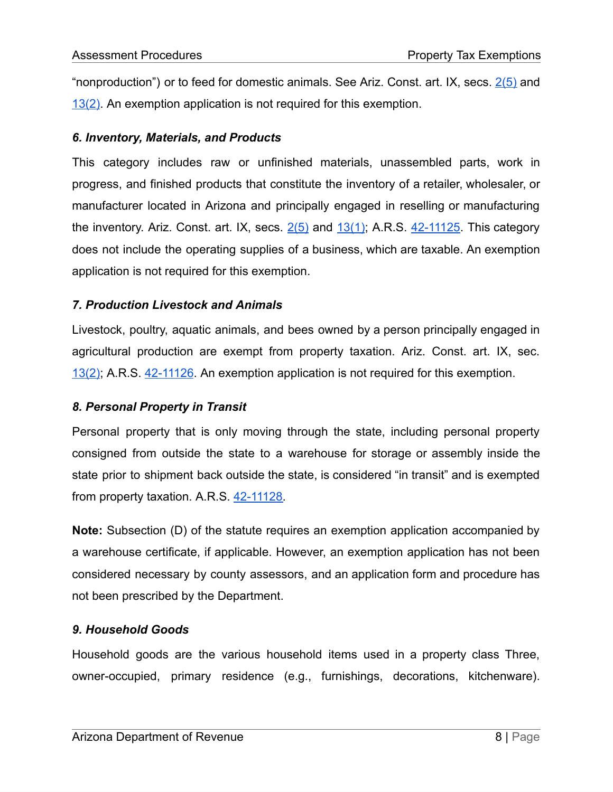"nonproduction") or to feed for domestic animals. See Ariz. Const. art. IX, secs.  $2(5)$  and [13\(2\)](https://www.azleg.gov/viewDocument/?docName=http://www.azleg.gov/const/9/13.htm). An exemption application is not required for this exemption.

### *6. Inventory, Materials, and Products*

This category includes raw or unfinished materials, unassembled parts, work in progress, and finished products that constitute the inventory of a retailer, wholesaler, or manufacturer located in Arizona and principally engaged in reselling or manufacturing the inventory. Ariz. Const. art. IX, secs.  $2(5)$  and  $13(1)$ ; A.R.S. [42-11125.](https://www.azleg.gov/viewdocument/?docName=https://www.azleg.gov/ars/42/11125.htm) This category does not include the operating supplies of a business, which are taxable. An exemption application is not required for this exemption.

#### *7. Production Livestock and Animals*

Livestock, poultry, aquatic animals, and bees owned by a person principally engaged in agricultural production are exempt from property taxation. Ariz. Const. art. IX, sec. [13\(2\)](https://www.azleg.gov/viewDocument/?docName=http://www.azleg.gov/const/9/13.htm); A.R.S. [42-11126.](https://www.azleg.gov/viewdocument/?docName=https://www.azleg.gov/ars/42/11126.htm) An exemption application is not required for this exemption.

# *8. Personal Property in Transit*

Personal property that is only moving through the state, including personal property consigned from outside the state to a warehouse for storage or assembly inside the state prior to shipment back outside the state, is considered "in transit" and is exempted from property taxation. A.R.S. [42-11128](https://www.azleg.gov/viewdocument/?docName=https://www.azleg.gov/ars/42/11128.htm).

**Note:** Subsection (D) of the statute requires an exemption application accompanied by a warehouse certificate, if applicable. However, an exemption application has not been considered necessary by county assessors, and an application form and procedure has not been prescribed by the Department.

# *9. Household Goods*

Household goods are the various household items used in a property class Three, owner-occupied, primary residence (e.g., furnishings, decorations, kitchenware).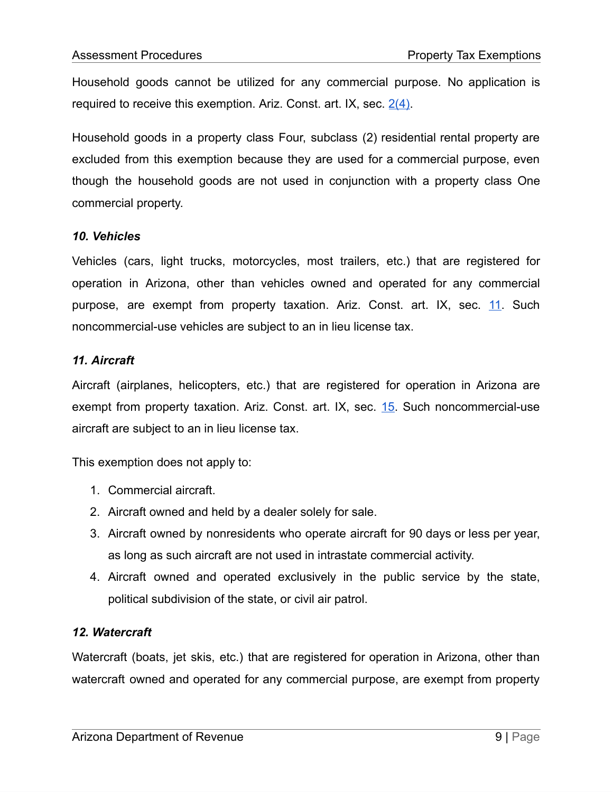Household goods cannot be utilized for any commercial purpose. No application is required to receive this exemption. Ariz. Const. art. IX, sec.  $2(4)$ .

Household goods in a property class Four, subclass (2) residential rental property are excluded from this exemption because they are used for a commercial purpose, even though the household goods are not used in conjunction with a property class One commercial property.

#### *10. Vehicles*

Vehicles (cars, light trucks, motorcycles, most trailers, etc.) that are registered for operation in Arizona, other than vehicles owned and operated for any commercial purpose, are exempt from property taxation. Ariz. Const. art. IX, sec. [11.](https://www.azleg.gov/viewDocument/?docName=http://www.azleg.gov/const/9/11.htm) Such noncommercial-use vehicles are subject to an in lieu license tax.

#### *11. Aircraft*

Aircraft (airplanes, helicopters, etc.) that are registered for operation in Arizona are exempt from property taxation. Ariz. Const. art. IX, sec. [15](https://www.azleg.gov/viewDocument/?docName=http://www.azleg.gov/const/9/15.htm). Such noncommercial-use aircraft are subject to an in lieu license tax.

This exemption does not apply to:

- 1. Commercial aircraft.
- 2. Aircraft owned and held by a dealer solely for sale.
- 3. Aircraft owned by nonresidents who operate aircraft for 90 days or less per year, as long as such aircraft are not used in intrastate commercial activity.
- 4. Aircraft owned and operated exclusively in the public service by the state, political subdivision of the state, or civil air patrol.

# *12. Watercraft*

Watercraft (boats, jet skis, etc.) that are registered for operation in Arizona, other than watercraft owned and operated for any commercial purpose, are exempt from property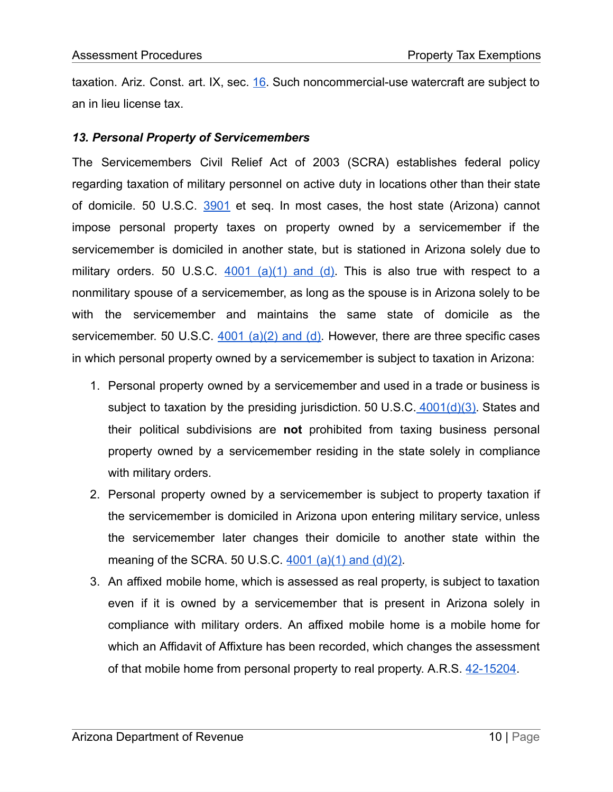taxation. Ariz. Const. art. IX, sec.  $16$ . Such noncommercial-use watercraft are subject to an in lieu license tax.

#### *13. Personal Property of Servicemembers*

The Servicemembers Civil Relief Act of 2003 (SCRA) establishes federal policy regarding taxation of military personnel on active duty in locations other than their state of domicile. 50 U.S.C. [3901](http://uscode.house.gov/view.xhtml?path=/prelim@title50/chapter50&edition=prelim) et seq. In most cases, the host state (Arizona) cannot impose personal property taxes on property owned by a servicemember if the servicemember is domiciled in another state, but is stationed in Arizona solely due to military orders. 50 U.S.C.  $4001$  [\(a\)\(1\)](http://uscode.house.gov/view.xhtml?req=granuleid:USC-prelim-title50-section4001&num=0&edition=prelim) and (d). This is also true with respect to a nonmilitary spouse of a servicemember, as long as the spouse is in Arizona solely to be with the servicemember and maintains the same state of domicile as the servicemember. 50 U.S.C. 4001 [\(a\)\(2\)](http://uscode.house.gov/view.xhtml?req=granuleid:USC-prelim-title50-section4001&num=0&edition=prelim) and (d). However, there are three specific cases in which personal property owned by a servicemember is subject to taxation in Arizona:

- 1. Personal property owned by a servicemember and used in a trade or business is subject to taxation by the presiding jurisdiction. 50 U.S.C.  $4001(d)(3)$ . States and their political subdivisions are **not** prohibited from taxing business personal property owned by a servicemember residing in the state solely in compliance with military orders.
- 2. Personal property owned by a servicemember is subject to property taxation if the servicemember is domiciled in Arizona upon entering military service, unless the servicemember later changes their domicile to another state within the meaning of the SCRA. 50 U.S.C.  $4001$  [\(a\)\(1\)](http://uscode.house.gov/view.xhtml?req=granuleid:USC-prelim-title50-section4001&num=0&edition=prelim) and (d)(2).
- 3. An affixed mobile home, which is assessed as real property, is subject to taxation even if it is owned by a servicemember that is present in Arizona solely in compliance with military orders. An affixed mobile home is a mobile home for which an Affidavit of Affixture has been recorded, which changes the assessment of that mobile home from personal property to real property. A.R.S. [42-15204.](https://www.azleg.gov/viewdocument/?docName=https://www.azleg.gov/ars/42/15204.htm)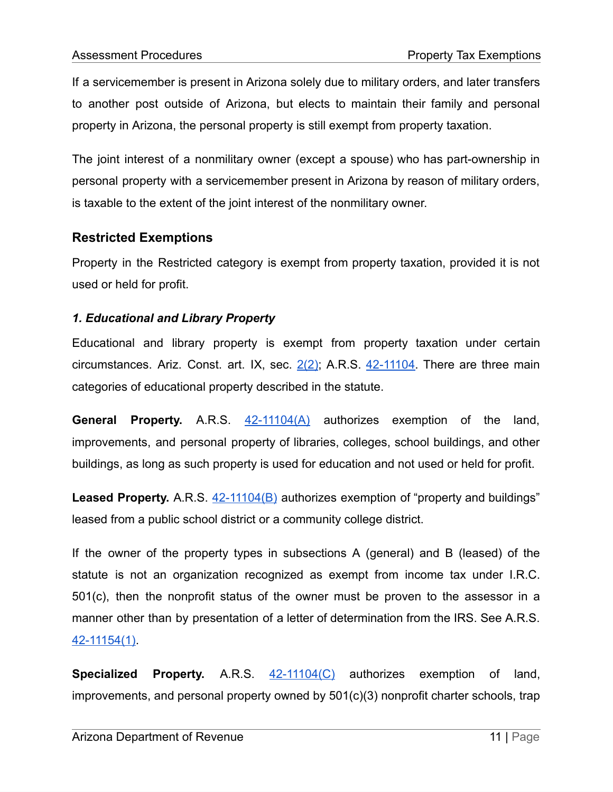If a servicemember is present in Arizona solely due to military orders, and later transfers to another post outside of Arizona, but elects to maintain their family and personal property in Arizona, the personal property is still exempt from property taxation.

The joint interest of a nonmilitary owner (except a spouse) who has part-ownership in personal property with a servicemember present in Arizona by reason of military orders, is taxable to the extent of the joint interest of the nonmilitary owner.

# **Restricted Exemptions**

Property in the Restricted category is exempt from property taxation, provided it is not used or held for profit.

# *1. Educational and Library Property*

Educational and library property is exempt from property taxation under certain circumstances. Ariz. Const. art. IX, sec.  $2(2)$ ; A.R.S.  $42-11104$ . There are three main categories of educational property described in the statute.

**General Property.** A.R.S. [42-11104\(A\)](https://www.azleg.gov/viewdocument/?docName=https://www.azleg.gov/ars/42/11104.htm) authorizes exemption of the land, improvements, and personal property of libraries, colleges, school buildings, and other buildings, as long as such property is used for education and not used or held for profit.

**Leased Property.** A.R.S. [42-11104\(B\)](https://www.azleg.gov/viewdocument/?docName=https://www.azleg.gov/ars/42/11104.htm) authorizes exemption of "property and buildings" leased from a public school district or a community college district.

If the owner of the property types in subsections A (general) and B (leased) of the statute is not an organization recognized as exempt from income tax under I.R.C. 501(c), then the nonprofit status of the owner must be proven to the assessor in a manner other than by presentation of a letter of determination from the IRS. See A.R.S. [42-11154\(1\).](https://www.azleg.gov/viewdocument/?docName=https://www.azleg.gov/ars/42/11154.htm)

**Specialized Property.** A.R.S. [42-11104\(C\)](https://www.azleg.gov/viewdocument/?docName=https://www.azleg.gov/ars/42/11104.htm) authorizes exemption of land, improvements, and personal property owned by 501(c)(3) nonprofit charter schools, trap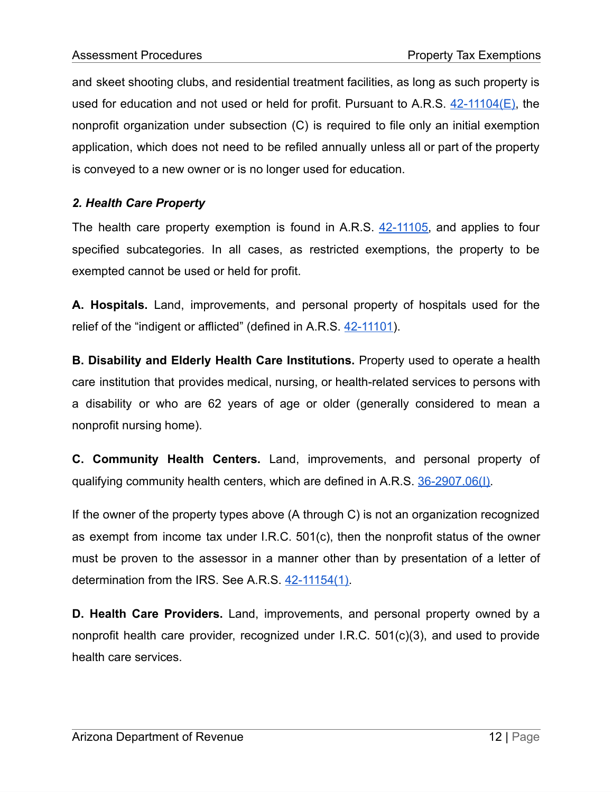and skeet shooting clubs, and residential treatment facilities, as long as such property is used for education and not used or held for profit. Pursuant to A.R.S.  $42-11104(E)$ , the nonprofit organization under subsection (C) is required to file only an initial exemption application, which does not need to be refiled annually unless all or part of the property is conveyed to a new owner or is no longer used for education.

# *2. Health Care Property*

The health care property exemption is found in A.R.S. [42-11105,](https://www.azleg.gov/viewdocument/?docName=https://www.azleg.gov/ars/42/11105.htm) and applies to four specified subcategories. In all cases, as restricted exemptions, the property to be exempted cannot be used or held for profit.

**A. Hospitals.** Land, improvements, and personal property of hospitals used for the relief of the "indigent or afflicted" (defined in A.R.S. [42-11101\)](https://www.azleg.gov/viewdocument/?docName=https://www.azleg.gov/ars/42/11101.htm).

**B. Disability and Elderly Health Care Institutions.** Property used to operate a health care institution that provides medical, nursing, or health-related services to persons with a disability or who are 62 years of age or older (generally considered to mean a nonprofit nursing home).

**C. Community Health Centers.** Land, improvements, and personal property of qualifying community health centers, which are defined in A.R.S. [36-2907.06\(I\).](https://www.azleg.gov/viewdocument/?docName=https://www.azleg.gov/ars/36/02907-06.htm)

If the owner of the property types above (A through C) is not an organization recognized as exempt from income tax under I.R.C. 501(c), then the nonprofit status of the owner must be proven to the assessor in a manner other than by presentation of a letter of determination from the IRS. See A.R.S. [42-11154\(1\)](https://www.azleg.gov/viewdocument/?docName=https://www.azleg.gov/ars/42/11154.htm).

**D. Health Care Providers.** Land, improvements, and personal property owned by a nonprofit health care provider, recognized under I.R.C. 501(c)(3), and used to provide health care services.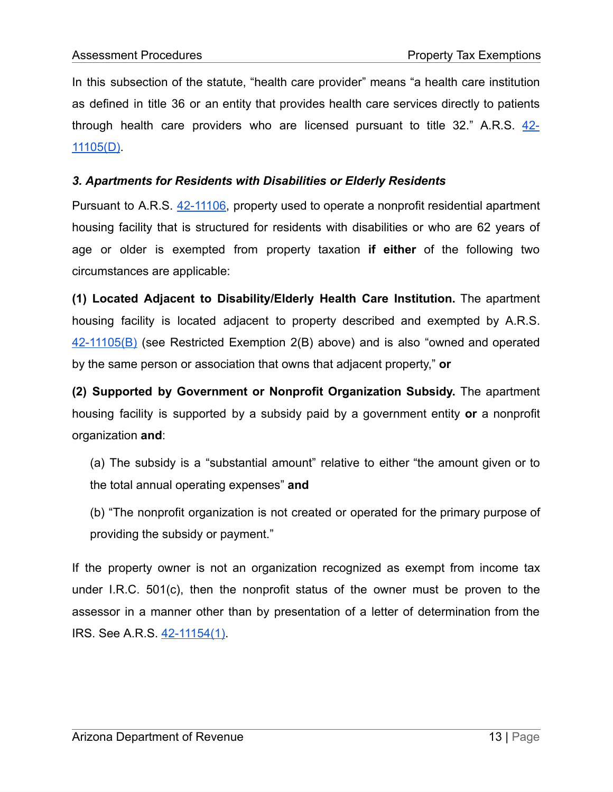In this subsection of the statute, "health care provider" means "a health care institution as defined in title 36 or an entity that provides health care services directly to patients through health care providers who are licensed pursuant to title  $32$ ." A.R.S.  $42-$ [11105\(D\)](https://www.azleg.gov/viewdocument/?docName=https://www.azleg.gov/ars/42/11105.htm).

# *3. Apartments for Residents with Disabilities or Elderly Residents*

Pursuant to A.R.S. [42-11106,](https://www.azleg.gov/viewdocument/?docName=https://www.azleg.gov/ars/42/11106.htm) property used to operate a nonprofit residential apartment housing facility that is structured for residents with disabilities or who are 62 years of age or older is exempted from property taxation **if either** of the following two circumstances are applicable:

**(1) Located Adjacent to Disability/Elderly Health Care Institution.** The apartment housing facility is located adjacent to property described and exempted by A.R.S. [42-11105\(B\)](https://www.azleg.gov/viewdocument/?docName=https://www.azleg.gov/ars/42/11105.htm) (see Restricted Exemption 2(B) above) and is also "owned and operated by the same person or association that owns that adjacent property," **or**

**(2) Supported by Government or Nonprofit Organization Subsidy.** The apartment housing facility is supported by a subsidy paid by a government entity **or** a nonprofit organization **and**:

(a) The subsidy is a "substantial amount" relative to either "the amount given or to the total annual operating expenses" **and**

(b) "The nonprofit organization is not created or operated for the primary purpose of providing the subsidy or payment."

If the property owner is not an organization recognized as exempt from income tax under I.R.C. 501(c), then the nonprofit status of the owner must be proven to the assessor in a manner other than by presentation of a letter of determination from the IRS. See A.R.S. [42-11154\(1\).](https://www.azleg.gov/viewdocument/?docName=https://www.azleg.gov/ars/42/11154.htm)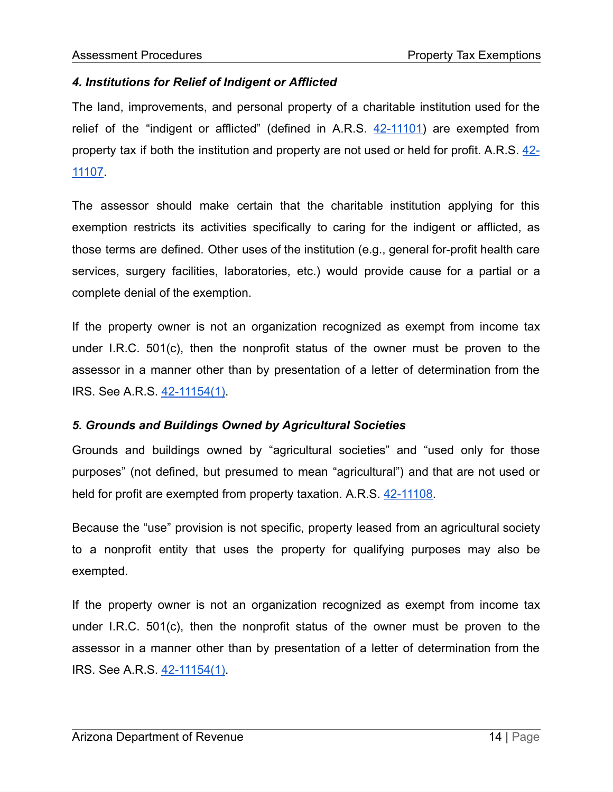# *4. Institutions for Relief of Indigent or Afflicted*

The land, improvements, and personal property of a charitable institution used for the relief of the "indigent or afflicted" (defined in A.R.S. [42-11101](https://www.azleg.gov/viewdocument/?docName=https://www.azleg.gov/ars/42/11101.htm)) are exempted from property tax if both the institution and property are not used or held for profit. A.R.S. [42-](https://www.azleg.gov/viewdocument/?docName=https://www.azleg.gov/ars/42/11107.htm) [11107.](https://www.azleg.gov/viewdocument/?docName=https://www.azleg.gov/ars/42/11107.htm)

The assessor should make certain that the charitable institution applying for this exemption restricts its activities specifically to caring for the indigent or afflicted, as those terms are defined. Other uses of the institution (e.g., general for-profit health care services, surgery facilities, laboratories, etc.) would provide cause for a partial or a complete denial of the exemption.

If the property owner is not an organization recognized as exempt from income tax under I.R.C. 501(c), then the nonprofit status of the owner must be proven to the assessor in a manner other than by presentation of a letter of determination from the IRS. See A.R.S. [42-11154\(1\).](https://www.azleg.gov/viewdocument/?docName=https://www.azleg.gov/ars/42/11154.htm)

# *5. Grounds and Buildings Owned by Agricultural Societies*

Grounds and buildings owned by "agricultural societies" and "used only for those purposes" (not defined, but presumed to mean "agricultural") and that are not used or held for profit are exempted from property taxation. A.R.S. [42-11108.](https://www.azleg.gov/viewdocument/?docName=https://www.azleg.gov/ars/42/11108.htm)

Because the "use" provision is not specific, property leased from an agricultural society to a nonprofit entity that uses the property for qualifying purposes may also be exempted.

If the property owner is not an organization recognized as exempt from income tax under I.R.C. 501(c), then the nonprofit status of the owner must be proven to the assessor in a manner other than by presentation of a letter of determination from the IRS. See A.R.S. [42-11154\(1\).](https://www.azleg.gov/viewdocument/?docName=https://www.azleg.gov/ars/42/11154.htm)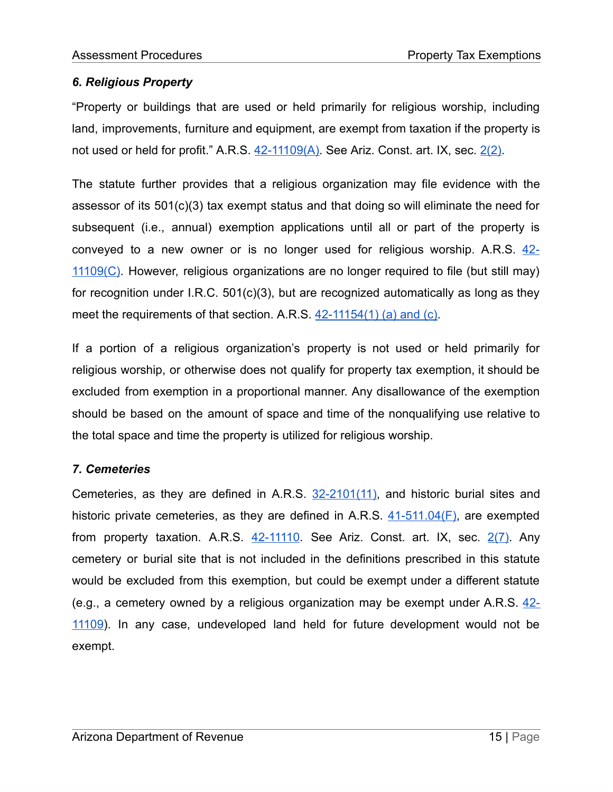# *6. Religious Property*

"Property or buildings that are used or held primarily for religious worship, including land, improvements, furniture and equipment, are exempt from taxation if the property is not used or held for profit." A.R.S. [42-11109\(A\)](https://www.azleg.gov/viewdocument/?docName=https://www.azleg.gov/ars/42/11109.htm). See Ariz. Const. art. IX, sec. [2\(2\)](https://www.azleg.gov/viewDocument/?docName=http://www.azleg.gov/const/9/2.htm).

The statute further provides that a religious organization may file evidence with the assessor of its 501(c)(3) tax exempt status and that doing so will eliminate the need for subsequent (i.e., annual) exemption applications until all or part of the property is conveyed to a new owner or is no longer used for religious worship. A.R.S. [42-](https://www.azleg.gov/viewdocument/?docName=https://www.azleg.gov/ars/42/11109.htm) 11109 $(C)$ . However, religious organizations are no longer required to file (but still may) for recognition under I.R.C. 501(c)(3), but are recognized automatically as long as they meet the requirements of that section. A.R.S. [42-11154\(1\)](https://www.azleg.gov/viewdocument/?docName=https://www.azleg.gov/ars/42/11154.htm) (a) and (c).

If a portion of a religious organization's property is not used or held primarily for religious worship, or otherwise does not qualify for property tax exemption, it should be excluded from exemption in a proportional manner. Any disallowance of the exemption should be based on the amount of space and time of the nonqualifying use relative to the total space and time the property is utilized for religious worship.

# *7. Cemeteries*

Cemeteries, as they are defined in A.R.S. [32-2101\(11\)](https://www.azleg.gov/viewdocument/?docName=https://www.azleg.gov/ars/32/02101.htm), and historic burial sites and historic private cemeteries, as they are defined in A.R.S.  $41-511.04(F)$ , are exempted from property taxation. A.R.S.  $42-11110$ . See Ariz. Const. art. IX, sec.  $2(7)$ . Any cemetery or burial site that is not included in the definitions prescribed in this statute would be excluded from this exemption, but could be exempt under a different statute (e.g., a cemetery owned by a religious organization may be exempt under A.R.S.  $42-$ [11109\)](https://www.azleg.gov/viewdocument/?docName=https://www.azleg.gov/ars/42/11109.htm). In any case, undeveloped land held for future development would not be exempt.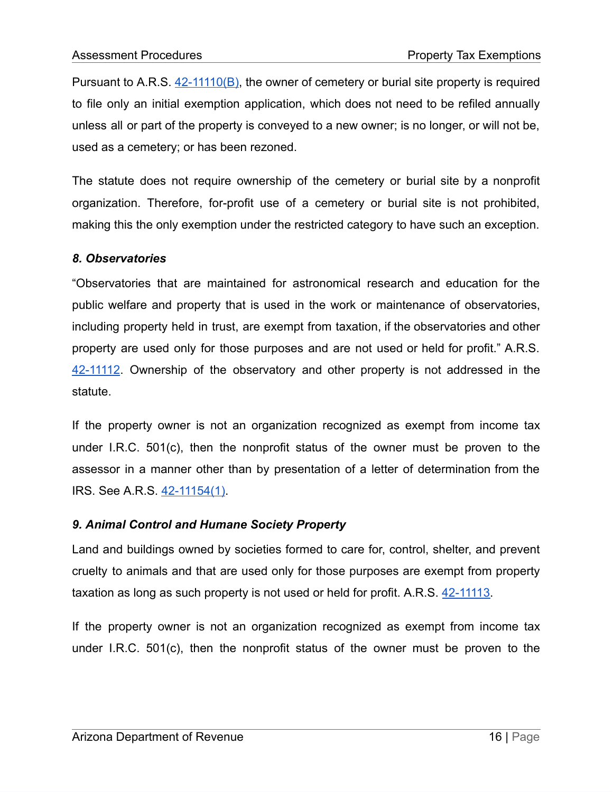Pursuant to A.R.S.  $42-11110(B)$ , the owner of cemetery or burial site property is required to file only an initial exemption application, which does not need to be refiled annually unless all or part of the property is conveyed to a new owner; is no longer, or will not be, used as a cemetery; or has been rezoned.

The statute does not require ownership of the cemetery or burial site by a nonprofit organization. Therefore, for-profit use of a cemetery or burial site is not prohibited, making this the only exemption under the restricted category to have such an exception.

#### *8. Observatories*

"Observatories that are maintained for astronomical research and education for the public welfare and property that is used in the work or maintenance of observatories, including property held in trust, are exempt from taxation, if the observatories and other property are used only for those purposes and are not used or held for profit." A.R.S. [42-11112](https://www.azleg.gov/viewdocument/?docName=https://www.azleg.gov/ars/42/11112.htm). Ownership of the observatory and other property is not addressed in the statute.

If the property owner is not an organization recognized as exempt from income tax under I.R.C. 501(c), then the nonprofit status of the owner must be proven to the assessor in a manner other than by presentation of a letter of determination from the IRS. See A.R.S. [42-11154\(1\).](https://www.azleg.gov/viewdocument/?docName=https://www.azleg.gov/ars/42/11154.htm)

#### *9. Animal Control and Humane Society Property*

Land and buildings owned by societies formed to care for, control, shelter, and prevent cruelty to animals and that are used only for those purposes are exempt from property taxation as long as such property is not used or held for profit. A.R.S. [42-11113.](https://www.azleg.gov/viewdocument/?docName=https://www.azleg.gov/ars/42/11113.htm)

If the property owner is not an organization recognized as exempt from income tax under I.R.C. 501(c), then the nonprofit status of the owner must be proven to the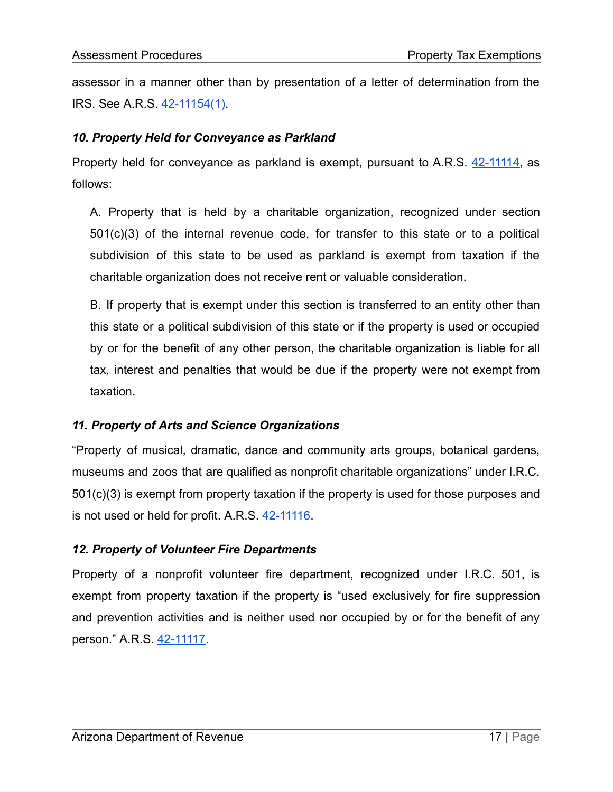assessor in a manner other than by presentation of a letter of determination from the IRS. See A.R.S. [42-11154\(1\).](https://www.azleg.gov/viewdocument/?docName=https://www.azleg.gov/ars/42/11154.htm)

# *10. Property Held for Conveyance as Parkland*

Property held for conveyance as parkland is exempt, pursuant to A.R.S. [42-11114](https://www.azleg.gov/viewdocument/?docName=https://www.azleg.gov/ars/42/11114.htm), as follows:

A. Property that is held by a charitable organization, recognized under section 501(c)(3) of the internal revenue code, for transfer to this state or to a political subdivision of this state to be used as parkland is exempt from taxation if the charitable organization does not receive rent or valuable consideration.

B. If property that is exempt under this section is transferred to an entity other than this state or a political subdivision of this state or if the property is used or occupied by or for the benefit of any other person, the charitable organization is liable for all tax, interest and penalties that would be due if the property were not exempt from taxation.

# *11. Property of Arts and Science Organizations*

"Property of musical, dramatic, dance and community arts groups, botanical gardens, museums and zoos that are qualified as nonprofit charitable organizations" under I.R.C. 501(c)(3) is exempt from property taxation if the property is used for those purposes and is not used or held for profit. A.R.S. [42-11116](https://www.azleg.gov/viewdocument/?docName=https://www.azleg.gov/ars/42/11116.htm).

# *12. Property of Volunteer Fire Departments*

Property of a nonprofit volunteer fire department, recognized under I.R.C. 501, is exempt from property taxation if the property is "used exclusively for fire suppression and prevention activities and is neither used nor occupied by or for the benefit of any person." A.R.S. [42-11117.](https://www.azleg.gov/viewdocument/?docName=https://www.azleg.gov/ars/42/11117.htm)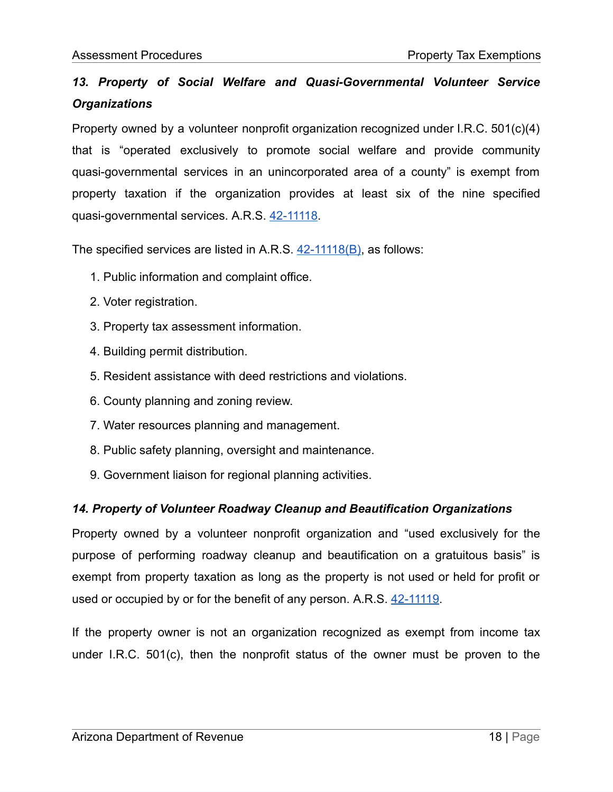# *13. Property of Social Welfare and Quasi-Governmental Volunteer Service Organizations*

Property owned by a volunteer nonprofit organization recognized under I.R.C. 501(c)(4) that is "operated exclusively to promote social welfare and provide community quasi-governmental services in an unincorporated area of a county" is exempt from property taxation if the organization provides at least six of the nine specified quasi-governmental services. A.R.S. [42-11118](https://www.azleg.gov/viewdocument/?docName=https://www.azleg.gov/ars/42/11118.htm).

The specified services are listed in A.R.S. [42-11118\(B\),](https://www.azleg.gov/viewdocument/?docName=https://www.azleg.gov/ars/42/11118.htm) as follows:

- 1. Public information and complaint office.
- 2. Voter registration.
- 3. Property tax assessment information.
- 4. Building permit distribution.
- 5. Resident assistance with deed restrictions and violations.
- 6. County planning and zoning review.
- 7. Water resources planning and management.
- 8. Public safety planning, oversight and maintenance.
- 9. Government liaison for regional planning activities.

# *14. Property of Volunteer Roadway Cleanup and Beautification Organizations*

Property owned by a volunteer nonprofit organization and "used exclusively for the purpose of performing roadway cleanup and beautification on a gratuitous basis" is exempt from property taxation as long as the property is not used or held for profit or used or occupied by or for the benefit of any person. A.R.S. [42-11119.](https://www.azleg.gov/viewdocument/?docName=https://www.azleg.gov/ars/42/11119.htm)

If the property owner is not an organization recognized as exempt from income tax under I.R.C. 501(c), then the nonprofit status of the owner must be proven to the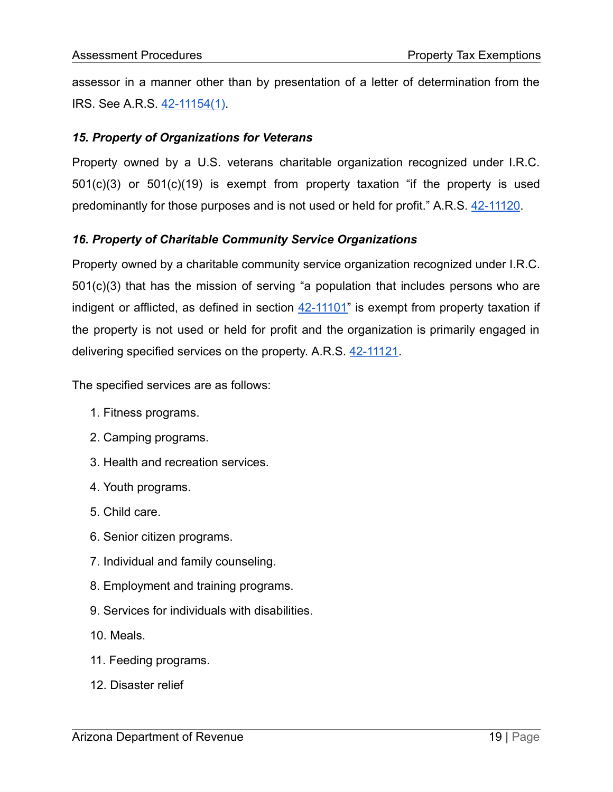assessor in a manner other than by presentation of a letter of determination from the IRS. See A.R.S. [42-11154\(1\).](https://www.azleg.gov/viewdocument/?docName=https://www.azleg.gov/ars/42/11154.htm)

### *15. Property of Organizations for Veterans*

Property owned by a U.S. veterans charitable organization recognized under I.R.C. 501(c)(3) or 501(c)(19) is exempt from property taxation "if the property is used predominantly for those purposes and is not used or held for profit." A.R.S. [42-11120.](https://www.azleg.gov/viewdocument/?docName=https://www.azleg.gov/ars/42/11120.htm)

# *16. Property of Charitable Community Service Organizations*

Property owned by a charitable community service organization recognized under I.R.C. 501(c)(3) that has the mission of serving "a population that includes persons who are indigent or afflicted, as defined in section  $42-11101$ " is exempt from property taxation if the property is not used or held for profit and the organization is primarily engaged in delivering specified services on the property. A.R.S. [42-11121](https://www.azleg.gov/viewdocument/?docName=https://www.azleg.gov/ars/42/11121.htm).

The specified services are as follows:

- 1. Fitness programs.
- 2. Camping programs.
- 3. Health and recreation services.
- 4. Youth programs.
- 5. Child care.
- 6. Senior citizen programs.
- 7. Individual and family counseling.
- 8. Employment and training programs.
- 9. Services for individuals with disabilities.
- 10. Meals.
- 11. Feeding programs.
- 12. Disaster relief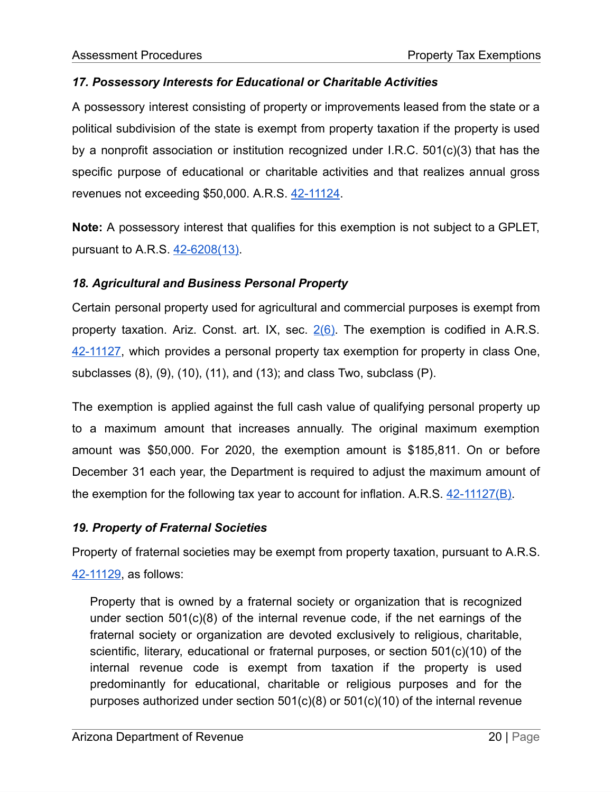# *17. Possessory Interests for Educational or Charitable Activities*

A possessory interest consisting of property or improvements leased from the state or a political subdivision of the state is exempt from property taxation if the property is used by a nonprofit association or institution recognized under I.R.C. 501(c)(3) that has the specific purpose of educational or charitable activities and that realizes annual gross revenues not exceeding \$50,000. A.R.S. [42-11124.](https://www.azleg.gov/viewdocument/?docName=https://www.azleg.gov/ars/42/11124.htm)

**Note:** A possessory interest that qualifies for this exemption is not subject to a GPLET, pursuant to A.R.S. [42-6208\(13\)](https://www.azleg.gov/viewdocument/?docName=https://www.azleg.gov/ars/42/06208.htm).

# *18. Agricultural and Business Personal Property*

Certain personal property used for agricultural and commercial purposes is exempt from property taxation. Ariz. Const. art. IX, sec.  $2(6)$ . The exemption is codified in A.R.S. [42-11127,](https://www.azleg.gov/viewdocument/?docName=https://www.azleg.gov/ars/42/11127.htm) which provides a personal property tax exemption for property in class One, subclasses (8), (9), (10), (11), and (13); and class Two, subclass (P).

The exemption is applied against the full cash value of qualifying personal property up to a maximum amount that increases annually. The original maximum exemption amount was \$50,000. For 2020, the exemption amount is \$185,811. On or before December 31 each year, the Department is required to adjust the maximum amount of the exemption for the following tax year to account for inflation. A.R.S. [42-11127\(B\)](https://www.azleg.gov/viewdocument/?docName=https://www.azleg.gov/ars/42/11127.htm).

# *19. Property of Fraternal Societies*

Property of fraternal societies may be exempt from property taxation, pursuant to A.R.S. [42-11129,](https://www.azleg.gov/viewdocument/?docName=https://www.azleg.gov/ars/42/11129.htm) as follows:

Property that is owned by a fraternal society or organization that is recognized under section 501(c)(8) of the internal revenue code, if the net earnings of the fraternal society or organization are devoted exclusively to religious, charitable, scientific, literary, educational or fraternal purposes, or section 501(c)(10) of the internal revenue code is exempt from taxation if the property is used predominantly for educational, charitable or religious purposes and for the purposes authorized under section 501(c)(8) or 501(c)(10) of the internal revenue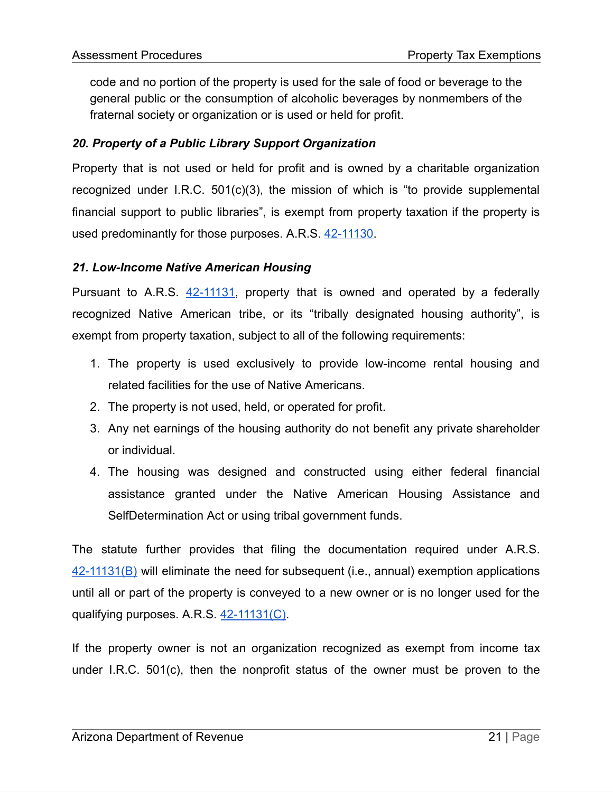code and no portion of the property is used for the sale of food or beverage to the general public or the consumption of alcoholic beverages by nonmembers of the fraternal society or organization or is used or held for profit.

# *20. Property of a Public Library Support Organization*

Property that is not used or held for profit and is owned by a charitable organization recognized under I.R.C. 501(c)(3), the mission of which is "to provide supplemental financial support to public libraries", is exempt from property taxation if the property is used predominantly for those purposes. A.R.S. [42-11130](https://www.azleg.gov/viewdocument/?docName=https://www.azleg.gov/ars/42/11130.htm).

#### *21. Low-Income Native American Housing*

Pursuant to A.R.S. [42-11131,](https://www.azleg.gov/viewdocument/?docName=https://www.azleg.gov/ars/42/11131.htm) property that is owned and operated by a federally recognized Native American tribe, or its "tribally designated housing authority", is exempt from property taxation, subject to all of the following requirements:

- 1. The property is used exclusively to provide low-income rental housing and related facilities for the use of Native Americans.
- 2. The property is not used, held, or operated for profit.
- 3. Any net earnings of the housing authority do not benefit any private shareholder or individual.
- 4. The housing was designed and constructed using either federal financial assistance granted under the Native American Housing Assistance and SelfDetermination Act or using tribal government funds.

The statute further provides that filing the documentation required under A.R.S.  $42-11131(B)$  will eliminate the need for subsequent (i.e., annual) exemption applications until all or part of the property is conveyed to a new owner or is no longer used for the qualifying purposes. A.R.S. [42-11131\(C\).](https://www.azleg.gov/viewdocument/?docName=https://www.azleg.gov/ars/42/11131.htm)

If the property owner is not an organization recognized as exempt from income tax under I.R.C. 501(c), then the nonprofit status of the owner must be proven to the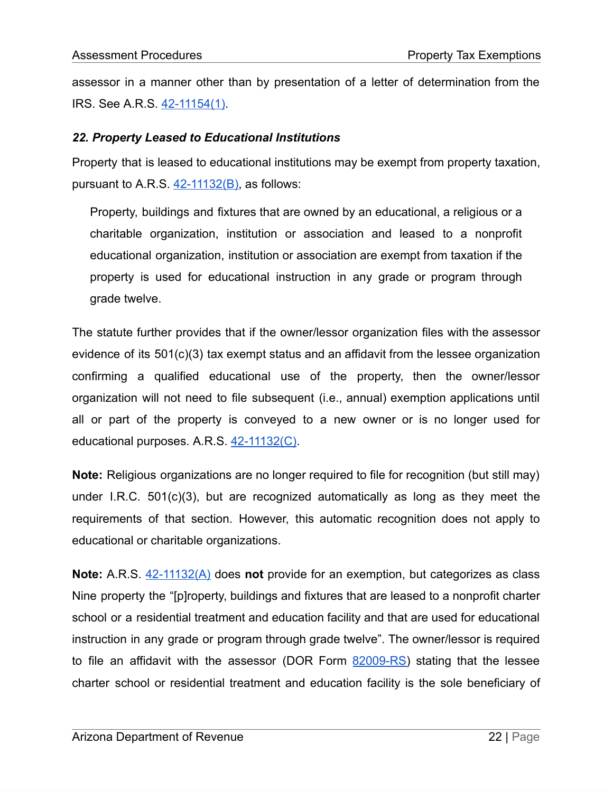assessor in a manner other than by presentation of a letter of determination from the IRS. See A.R.S. [42-11154\(1\).](https://www.azleg.gov/viewdocument/?docName=https://www.azleg.gov/ars/42/11154.htm)

#### *22. Property Leased to Educational Institutions*

Property that is leased to educational institutions may be exempt from property taxation, pursuant to A.R.S.  $42-11132(B)$ , as follows:

Property, buildings and fixtures that are owned by an educational, a religious or a charitable organization, institution or association and leased to a nonprofit educational organization, institution or association are exempt from taxation if the property is used for educational instruction in any grade or program through grade twelve.

The statute further provides that if the owner/lessor organization files with the assessor evidence of its  $501(c)(3)$  tax exempt status and an affidavit from the lessee organization confirming a qualified educational use of the property, then the owner/lessor organization will not need to file subsequent (i.e., annual) exemption applications until all or part of the property is conveyed to a new owner or is no longer used for educational purposes. A.R.S. [42-11132\(C\)](https://www.azleg.gov/viewdocument/?docName=https://www.azleg.gov/ars/42/11132.htm).

**Note:** Religious organizations are no longer required to file for recognition (but still may) under I.R.C. 501(c)(3), but are recognized automatically as long as they meet the requirements of that section. However, this automatic recognition does not apply to educational or charitable organizations.

**Note:** A.R.S. [42-11132\(A\)](https://www.azleg.gov/viewdocument/?docName=https://www.azleg.gov/ars/42/11132.htm) does **not** provide for an exemption, but categorizes as class Nine property the "[p]roperty, buildings and fixtures that are leased to a nonprofit charter school or a residential treatment and education facility and that are used for educational instruction in any grade or program through grade twelve". The owner/lessor is required to file an affidavit with the assessor (DOR Form [82009-RS](https://azdor.gov/forms/property-tax-forms/affidavit-property-owner%E2%80%99s-lease-church-religious-assembly-religious)) stating that the lessee charter school or residential treatment and education facility is the sole beneficiary of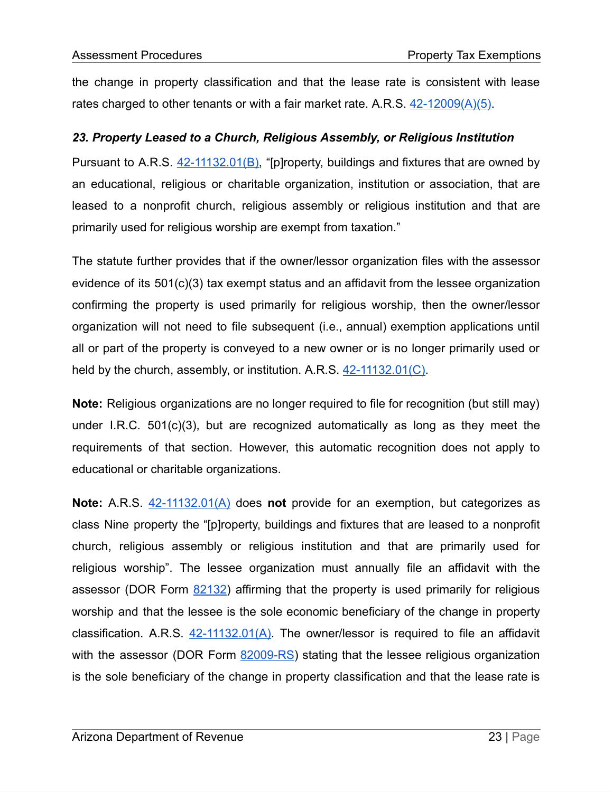the change in property classification and that the lease rate is consistent with lease rates charged to other tenants or with a fair market rate. A.R.S.  $42-12009(A)(5)$ .

# *23. Property Leased to a Church, Religious Assembly, or Religious Institution*

Pursuant to A.R.S. [42-11132.01\(B\),](https://www.azleg.gov/viewdocument/?docName=https://www.azleg.gov/ars/42/11132-01.htm) "[p]roperty, buildings and fixtures that are owned by an educational, religious or charitable organization, institution or association, that are leased to a nonprofit church, religious assembly or religious institution and that are primarily used for religious worship are exempt from taxation."

The statute further provides that if the owner/lessor organization files with the assessor evidence of its 501(c)(3) tax exempt status and an affidavit from the lessee organization confirming the property is used primarily for religious worship, then the owner/lessor organization will not need to file subsequent (i.e., annual) exemption applications until all or part of the property is conveyed to a new owner or is no longer primarily used or held by the church, assembly, or institution. A.R.S. [42-11132.01\(C\)](https://www.azleg.gov/viewdocument/?docName=https://www.azleg.gov/ars/42/11132-01.htm).

**Note:** Religious organizations are no longer required to file for recognition (but still may) under I.R.C. 501(c)(3), but are recognized automatically as long as they meet the requirements of that section. However, this automatic recognition does not apply to educational or charitable organizations.

**Note:** A.R.S. [42-11132.01\(A\)](https://www.azleg.gov/viewdocument/?docName=https://www.azleg.gov/ars/42/11132-01.htm) does **not** provide for an exemption, but categorizes as class Nine property the "[p]roperty, buildings and fixtures that are leased to a nonprofit church, religious assembly or religious institution and that are primarily used for religious worship". The lessee organization must annually file an affidavit with the assessor (DOR Form [82132](https://azdor.gov/forms/property-forms/annual-affidavit-church-religious-assembly-or-institution-using-or-holding)) affirming that the property is used primarily for religious worship and that the lessee is the sole economic beneficiary of the change in property classification. A.R.S.  $42-11132.01(A)$ . The owner/lessor is required to file an affidavit with the assessor (DOR Form [82009-RS](https://azdor.gov/forms/property-tax-forms/affidavit-property-owner%E2%80%99s-lease-church-religious-assembly-religious)) stating that the lessee religious organization is the sole beneficiary of the change in property classification and that the lease rate is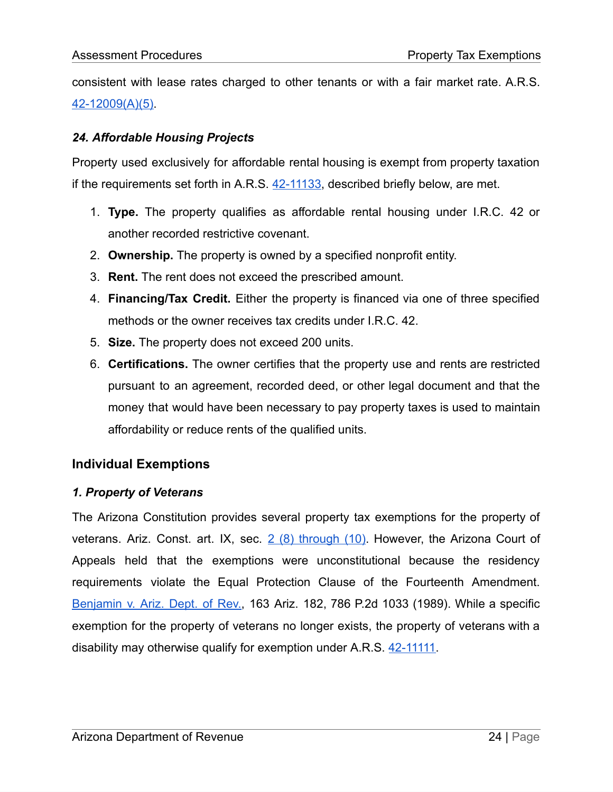consistent with lease rates charged to other tenants or with a fair market rate. A.R.S. [42-12009\(A\)\(5\).](https://www.azleg.gov/viewdocument/?docName=https://www.azleg.gov/ars/42/12009.htm)

# *24. Affordable Housing Projects*

Property used exclusively for affordable rental housing is exempt from property taxation if the requirements set forth in A.R.S. [42-11133](https://www.azleg.gov/viewdocument/?docName=https://www.azleg.gov/ars/42/11133.htm), described briefly below, are met.

- 1. **Type.** The property qualifies as affordable rental housing under I.R.C. 42 or another recorded restrictive covenant.
- 2. **Ownership.** The property is owned by a specified nonprofit entity.
- 3. **Rent.** The rent does not exceed the prescribed amount.
- 4. **Financing/Tax Credit.** Either the property is financed via one of three specified methods or the owner receives tax credits under I.R.C. 42.
- 5. **Size.** The property does not exceed 200 units.
- 6. **Certifications.** The owner certifies that the property use and rents are restricted pursuant to an agreement, recorded deed, or other legal document and that the money that would have been necessary to pay property taxes is used to maintain affordability or reduce rents of the qualified units.

# **Individual Exemptions**

# *1. Property of Veterans*

The Arizona Constitution provides several property tax exemptions for the property of veterans. Ariz. Const. art. IX, sec.  $2(8)$  [through](https://www.azleg.gov/viewDocument/?docName=http://www.azleg.gov/const/9/2.htm) (10). However, the Arizona Court of Appeals held that the exemptions were unconstitutional because the residency requirements violate the Equal Protection Clause of the Fourteenth Amendment. [Benjamin](https://www.leagle.com/decision/1989345163ariz1821310) v. Ariz. Dept. of Rev., 163 Ariz. 182, 786 P.2d 1033 (1989). While a specific exemption for the property of veterans no longer exists, the property of veterans with a disability may otherwise qualify for exemption under A.R.S. [42-11111](https://www.azleg.gov/viewdocument/?docName=https://www.azleg.gov/ars/42/11111.htm).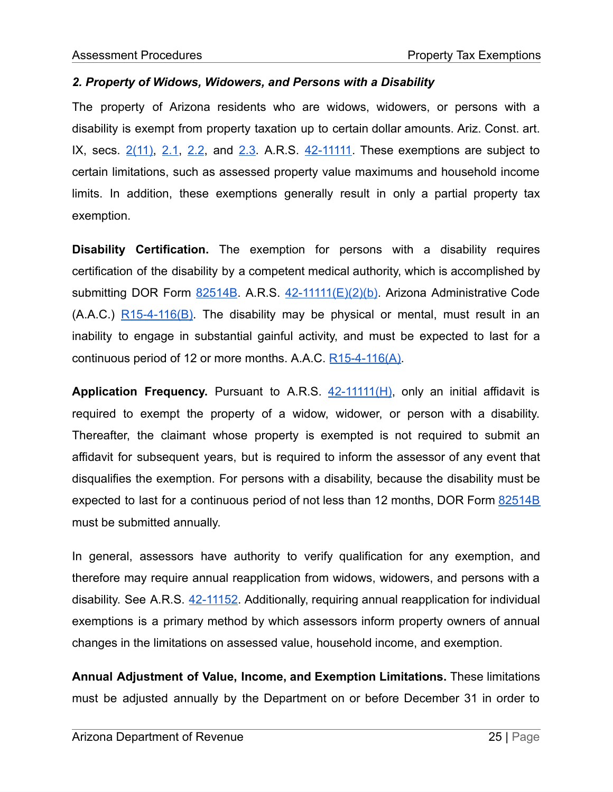#### *2. Property of Widows, Widowers, and Persons with a Disability*

The property of Arizona residents who are widows, widowers, or persons with a disability is exempt from property taxation up to certain dollar amounts. Ariz. Const. art. IX, secs. [2\(11\),](https://www.azleg.gov/viewDocument/?docName=http://www.azleg.gov/const/9/2.htm) [2.1](https://www.azleg.gov/viewDocument/?docName=http://www.azleg.gov/const/9/2_1.htm), [2.2](https://www.azleg.gov/viewDocument/?docName=http://www.azleg.gov/const/9/2_2.htm), and [2.3](https://www.azleg.gov/viewDocument/?docName=http://www.azleg.gov/const/9/2_3.htm). A.R.S. [42-11111.](https://www.azleg.gov/viewdocument/?docName=https://www.azleg.gov/ars/42/11111.htm) These exemptions are subject to certain limitations, such as assessed property value maximums and household income limits. In addition, these exemptions generally result in only a partial property tax exemption.

**Disability Certification.** The exemption for persons with a disability requires certification of the disability by a competent medical authority, which is accomplished by submitting DOR Form [82514B](https://azdor.gov/forms/property-forms/certification-disability-property-tax-exemption). A.R.S. [42-11111\(E\)\(2\)\(b\)](https://www.azleg.gov/viewdocument/?docName=https://www.azleg.gov/ars/42/11111.htm). Arizona Administrative Code (A.A.C.) [R15-4-116\(B\).](https://apps.azsos.gov/public_services/Title_15/15-04.pdf) The disability may be physical or mental, must result in an inability to engage in substantial gainful activity, and must be expected to last for a continuous period of 12 or more months. A.A.C. [R15-4-116\(A\)](https://apps.azsos.gov/public_services/Title_15/15-04.pdf).

**Application Frequency.** Pursuant to A.R.S. [42-11111\(H\),](https://www.azleg.gov/viewdocument/?docName=https://www.azleg.gov/ars/42/11111.htm) only an initial affidavit is required to exempt the property of a widow, widower, or person with a disability. Thereafter, the claimant whose property is exempted is not required to submit an affidavit for subsequent years, but is required to inform the assessor of any event that disqualifies the exemption. For persons with a disability, because the disability must be expected to last for a continuous period of not less than 12 months, DOR Form [82514B](https://azdor.gov/forms/property-forms/certification-disability-property-tax-exemption) must be submitted annually.

In general, assessors have authority to verify qualification for any exemption, and therefore may require annual reapplication from widows, widowers, and persons with a disability. See A.R.S. [42-11152.](https://www.azleg.gov/viewdocument/?docName=https://www.azleg.gov/ars/42/11152.htm) Additionally, requiring annual reapplication for individual exemptions is a primary method by which assessors inform property owners of annual changes in the limitations on assessed value, household income, and exemption.

**Annual Adjustment of Value, Income, and Exemption Limitations.** These limitations must be adjusted annually by the Department on or before December 31 in order to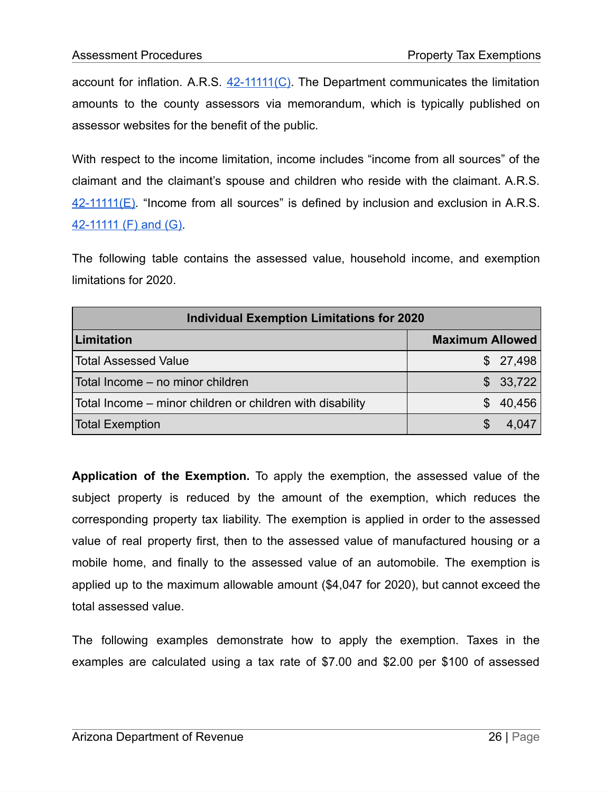account for inflation. A.R.S.  $42-11111(C)$ . The Department communicates the limitation amounts to the county assessors via memorandum, which is typically published on assessor websites for the benefit of the public.

With respect to the income limitation, income includes "income from all sources" of the claimant and the claimant's spouse and children who reside with the claimant. A.R.S.  $42-11111(E)$ . "Income from all sources" is defined by inclusion and exclusion in A.R.S. [42-11111](https://www.azleg.gov/viewdocument/?docName=https://www.azleg.gov/ars/42/11111.htm) (F) and (G).

The following table contains the assessed value, household income, and exemption limitations for 2020.

| <b>Individual Exemption Limitations for 2020</b>          |                        |  |  |  |  |  |  |
|-----------------------------------------------------------|------------------------|--|--|--|--|--|--|
| Limitation                                                | <b>Maximum Allowed</b> |  |  |  |  |  |  |
| <b>Total Assessed Value</b>                               | \$27,498               |  |  |  |  |  |  |
| Total Income - no minor children                          | \$33,722               |  |  |  |  |  |  |
| Total Income – minor children or children with disability | \$40,456               |  |  |  |  |  |  |
| <b>Total Exemption</b>                                    | 4 047                  |  |  |  |  |  |  |

**Application of the Exemption.** To apply the exemption, the assessed value of the subject property is reduced by the amount of the exemption, which reduces the corresponding property tax liability. The exemption is applied in order to the assessed value of real property first, then to the assessed value of manufactured housing or a mobile home, and finally to the assessed value of an automobile. The exemption is applied up to the maximum allowable amount (\$4,047 for 2020), but cannot exceed the total assessed value.

The following examples demonstrate how to apply the exemption. Taxes in the examples are calculated using a tax rate of \$7.00 and \$2.00 per \$100 of assessed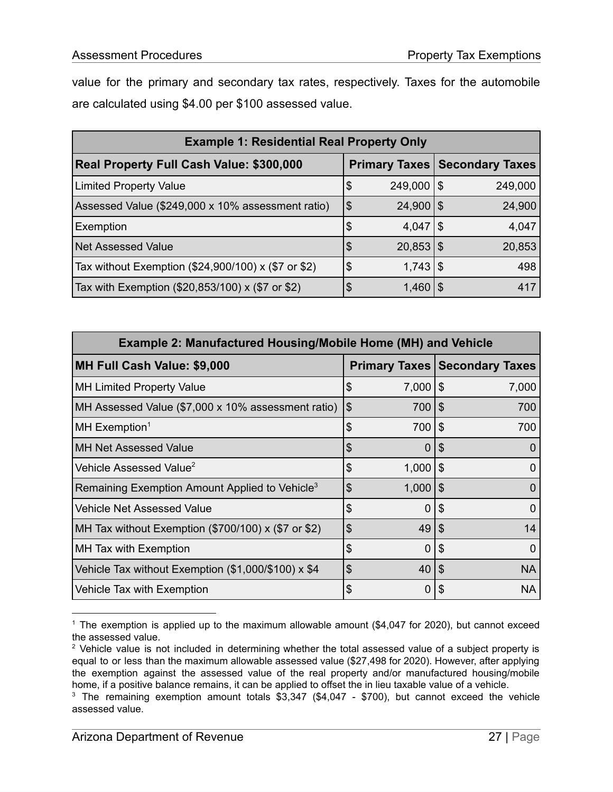value for the primary and secondary tax rates, respectively. Taxes for the automobile are calculated using \$4.00 per \$100 assessed value.

| <b>Example 1: Residential Real Property Only</b>            |                     |                |                                        |         |  |  |
|-------------------------------------------------------------|---------------------|----------------|----------------------------------------|---------|--|--|
| <b>Real Property Full Cash Value: \$300,000</b>             |                     |                | <b>Primary Taxes   Secondary Taxes</b> |         |  |  |
| <b>Limited Property Value</b>                               | \$                  | $249,000$   \$ |                                        | 249,000 |  |  |
| Assessed Value (\$249,000 x 10% assessment ratio)           | $\overline{\theta}$ | $24,900$   \$  |                                        | 24,900  |  |  |
| Exemption                                                   | \$                  | $4,047$   \$   |                                        | 4,047   |  |  |
| <b>Net Assessed Value</b>                                   | \$                  | $20,853$ \ \\$ |                                        | 20,853  |  |  |
| Tax without Exemption $(\$24,900/100) \times \$7$ or $\$2)$ | S                   | $1,743$   \$   |                                        | 498     |  |  |
| Tax with Exemption (\$20,853/100) x (\$7 or \$2)            |                     | $1,460$   \$   |                                        | 417     |  |  |

| <b>Example 2: Manufactured Housing/Mobile Home (MH) and Vehicle</b> |    |                |                           |                                        |  |  |  |
|---------------------------------------------------------------------|----|----------------|---------------------------|----------------------------------------|--|--|--|
| <b>MH Full Cash Value: \$9,000</b>                                  |    |                |                           | <b>Primary Taxes   Secondary Taxes</b> |  |  |  |
| <b>MH Limited Property Value</b>                                    | \$ | 7,000          | \$                        | 7,000                                  |  |  |  |
| MH Assessed Value (\$7,000 x 10% assessment ratio)                  | \$ | 700            | \$                        | 700                                    |  |  |  |
| MH Exemption <sup>1</sup>                                           | \$ | 700            | \$                        | 700                                    |  |  |  |
| <b>MH Net Assessed Value</b>                                        | \$ | $\overline{0}$ | \$                        | O                                      |  |  |  |
| Vehicle Assessed Value <sup>2</sup>                                 | \$ | $1,000$   \$   |                           | $\Omega$                               |  |  |  |
| Remaining Exemption Amount Applied to Vehicle <sup>3</sup>          | \$ | 1,000          | \$                        | O                                      |  |  |  |
| <b>Vehicle Net Assessed Value</b>                                   | \$ | 0              | \$                        | 0                                      |  |  |  |
| MH Tax without Exemption $(\$700/100) \times (\$7$ or \$2)          | \$ | 49             | \$                        | 14                                     |  |  |  |
| <b>MH Tax with Exemption</b>                                        | \$ | $\Omega$       | \$                        | 0                                      |  |  |  |
| Vehicle Tax without Exemption (\$1,000/\$100) x \$4                 | \$ | 40 l           | $\boldsymbol{\mathsf{S}}$ | <b>NA</b>                              |  |  |  |
| Vehicle Tax with Exemption                                          | \$ | 0              |                           | <b>NA</b>                              |  |  |  |

<sup>&</sup>lt;sup>1</sup> The exemption is applied up to the maximum allowable amount  $(\$4,047$  for 2020), but cannot exceed the assessed value.

<sup>&</sup>lt;sup>2</sup> Vehicle value is not included in determining whether the total assessed value of a subject property is equal to or less than the maximum allowable assessed value (\$27,498 for 2020). However, after applying the exemption against the assessed value of the real property and/or manufactured housing/mobile home, if a positive balance remains, it can be applied to offset the in lieu taxable value of a vehicle.

<sup>&</sup>lt;sup>3</sup> The remaining exemption amount totals \$3,347 (\$4,047 - \$700), but cannot exceed the vehicle assessed value.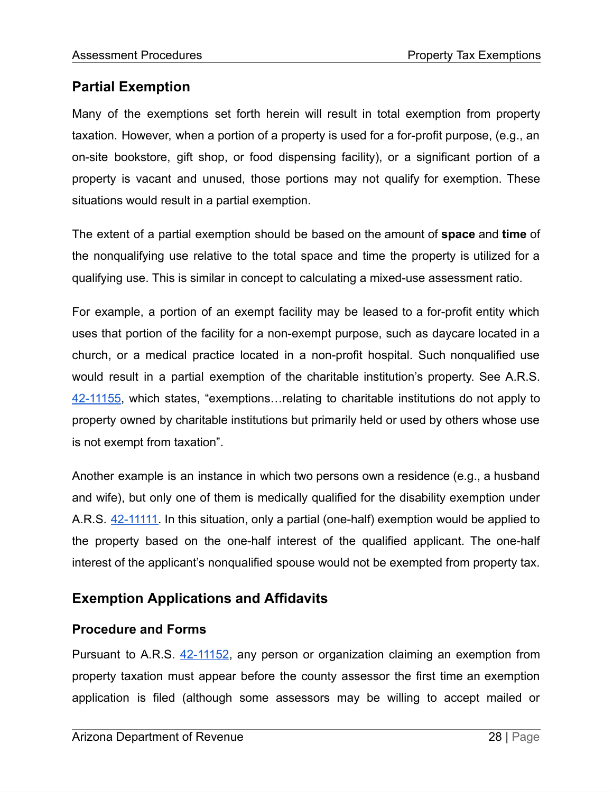# **Partial Exemption**

Many of the exemptions set forth herein will result in total exemption from property taxation. However, when a portion of a property is used for a for-profit purpose, (e.g., an on-site bookstore, gift shop, or food dispensing facility), or a significant portion of a property is vacant and unused, those portions may not qualify for exemption. These situations would result in a partial exemption.

The extent of a partial exemption should be based on the amount of **space** and **time** of the nonqualifying use relative to the total space and time the property is utilized for a qualifying use. This is similar in concept to calculating a mixed-use assessment ratio.

For example, a portion of an exempt facility may be leased to a for-profit entity which uses that portion of the facility for a non-exempt purpose, such as daycare located in a church, or a medical practice located in a non-profit hospital. Such nonqualified use would result in a partial exemption of the charitable institution's property. See A.R.S. [42-11155,](https://www.azleg.gov/viewdocument/?docName=https://www.azleg.gov/ars/42/11155.htm) which states, "exemptions…relating to charitable institutions do not apply to property owned by charitable institutions but primarily held or used by others whose use is not exempt from taxation".

Another example is an instance in which two persons own a residence (e.g., a husband and wife), but only one of them is medically qualified for the disability exemption under A.R.S. [42-11111.](https://www.azleg.gov/viewdocument/?docName=https://www.azleg.gov/ars/42/11111.htm) In this situation, only a partial (one-half) exemption would be applied to the property based on the one-half interest of the qualified applicant. The one-half interest of the applicant's nonqualified spouse would not be exempted from property tax.

# <span id="page-28-0"></span>**Exemption Applications and Affidavits**

# **Procedure and Forms**

Pursuant to A.R.S. [42-11152,](https://www.azleg.gov/viewdocument/?docName=https://www.azleg.gov/ars/42/11152.htm) any person or organization claiming an exemption from property taxation must appear before the county assessor the first time an exemption application is filed (although some assessors may be willing to accept mailed or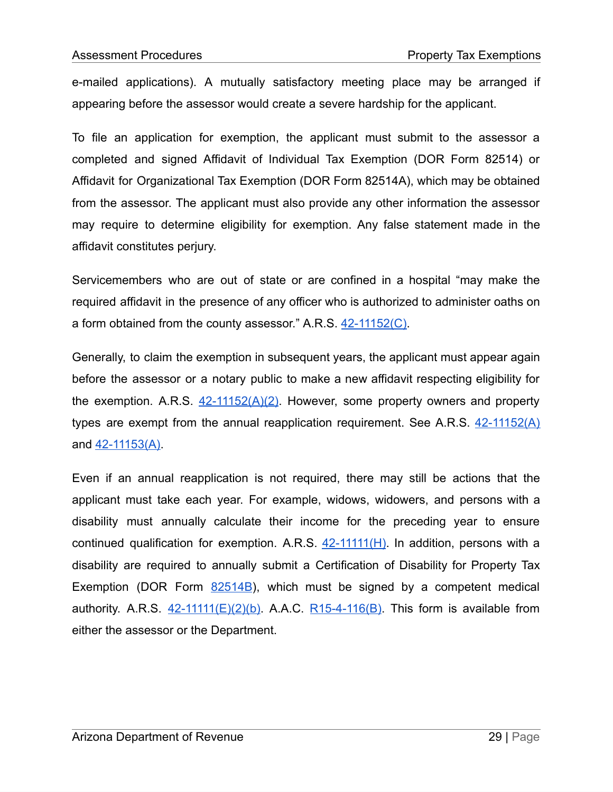e-mailed applications). A mutually satisfactory meeting place may be arranged if appearing before the assessor would create a severe hardship for the applicant.

To file an application for exemption, the applicant must submit to the assessor a completed and signed Affidavit of Individual Tax Exemption (DOR Form 82514) or Affidavit for Organizational Tax Exemption (DOR Form 82514A), which may be obtained from the assessor. The applicant must also provide any other information the assessor may require to determine eligibility for exemption. Any false statement made in the affidavit constitutes perjury.

Servicemembers who are out of state or are confined in a hospital "may make the required affidavit in the presence of any officer who is authorized to administer oaths on a form obtained from the county assessor." A.R.S. [42-11152\(C\)](https://www.azleg.gov/viewdocument/?docName=https://www.azleg.gov/ars/42/11152.htm).

Generally, to claim the exemption in subsequent years, the applicant must appear again before the assessor or a notary public to make a new affidavit respecting eligibility for the exemption. A.R.S.  $42-11152(A)(2)$ . However, some property owners and property types are exempt from the annual reapplication requirement. See A.R.S.  $42-11152(A)$ and <u>[42-11153\(A\)](https://www.azleg.gov/viewdocument/?docName=https://www.azleg.gov/ars/42/11153.htm)</u>

Even if an annual reapplication is not required, there may still be actions that the applicant must take each year. For example, widows, widowers, and persons with a disability must annually calculate their income for the preceding year to ensure continued qualification for exemption. A.R.S.  $42-11111(H)$ . In addition, persons with a disability are required to annually submit a Certification of Disability for Property Tax Exemption (DOR Form  $82514B$ ), which must be signed by a competent medical authority. A.R.S.  $42-11111(E)(2)(b)$ . A.A.C. [R15-4-116\(B\)](https://apps.azsos.gov/public_services/Title_15/15-04.pdf). This form is available from either the assessor or the Department.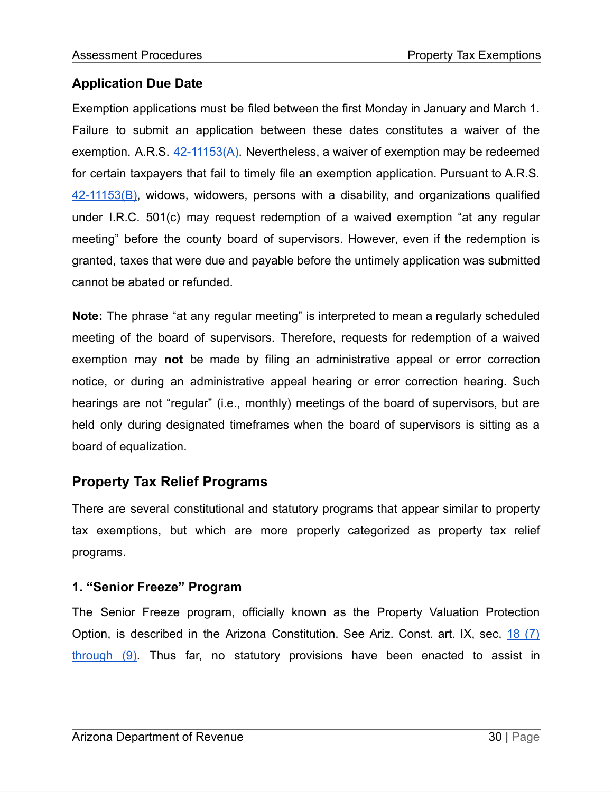# **Application Due Date**

Exemption applications must be filed between the first Monday in January and March 1. Failure to submit an application between these dates constitutes a waiver of the exemption. A.R.S.  $42-11153(A)$ . Nevertheless, a waiver of exemption may be redeemed for certain taxpayers that fail to timely file an exemption application. Pursuant to A.R.S. [42-11153\(B\),](https://www.azleg.gov/viewdocument/?docName=https://www.azleg.gov/ars/42/11153.htm) widows, widowers, persons with a disability, and organizations qualified under I.R.C. 501(c) may request redemption of a waived exemption "at any regular meeting" before the county board of supervisors. However, even if the redemption is granted, taxes that were due and payable before the untimely application was submitted cannot be abated or refunded.

**Note:** The phrase "at any regular meeting" is interpreted to mean a regularly scheduled meeting of the board of supervisors. Therefore, requests for redemption of a waived exemption may **not** be made by filing an administrative appeal or error correction notice, or during an administrative appeal hearing or error correction hearing. Such hearings are not "regular" (i.e., monthly) meetings of the board of supervisors, but are held only during designated timeframes when the board of supervisors is sitting as a board of equalization.

# **Property Tax Relief Programs**

There are several constitutional and statutory programs that appear similar to property tax exemptions, but which are more properly categorized as property tax relief programs.

# **1. "Senior Freeze" Program**

The Senior Freeze program, officially known as the Property Valuation Protection Option, is described in the Arizona Constitution. See Ariz. Const. art. IX, sec.  $18(7)$  $18(7)$ [through](https://www.azleg.gov/viewDocument/?docName=http://www.azleg.gov/const/9/18.htm) (9). Thus far, no statutory provisions have been enacted to assist in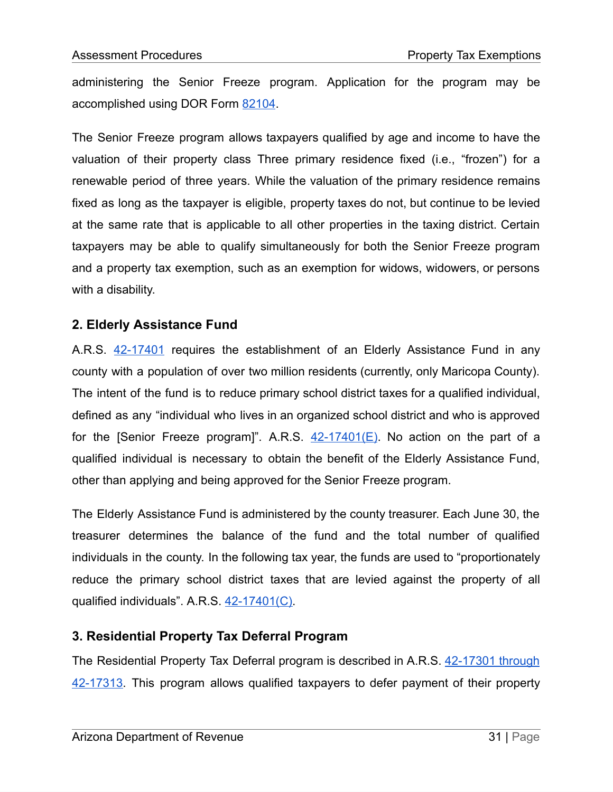administering the Senior Freeze program. Application for the program may be accomplished using DOR Form [82104](https://azdor.gov/forms/property-tax-forms/senior-property-valuation-protection-option).

The Senior Freeze program allows taxpayers qualified by age and income to have the valuation of their property class Three primary residence fixed (i.e., "frozen") for a renewable period of three years. While the valuation of the primary residence remains fixed as long as the taxpayer is eligible, property taxes do not, but continue to be levied at the same rate that is applicable to all other properties in the taxing district. Certain taxpayers may be able to qualify simultaneously for both the Senior Freeze program and a property tax exemption, such as an exemption for widows, widowers, or persons with a disability.

# **2. Elderly Assistance Fund**

A.R.S. [42-17401](https://www.azleg.gov/viewdocument/?docName=https://www.azleg.gov/ars/42/17401.htm) requires the establishment of an Elderly Assistance Fund in any county with a population of over two million residents (currently, only Maricopa County). The intent of the fund is to reduce primary school district taxes for a qualified individual, defined as any "individual who lives in an organized school district and who is approved for the [Senior Freeze program]". A.R.S.  $42-17401(E)$ . No action on the part of a qualified individual is necessary to obtain the benefit of the Elderly Assistance Fund, other than applying and being approved for the Senior Freeze program.

The Elderly Assistance Fund is administered by the county treasurer. Each June 30, the treasurer determines the balance of the fund and the total number of qualified individuals in the county. In the following tax year, the funds are used to "proportionately reduce the primary school district taxes that are levied against the property of all qualified individuals". A.R.S. [42-17401\(C\)](https://www.azleg.gov/viewdocument/?docName=https://www.azleg.gov/ars/42/17401.htm).

# **3. Residential Property Tax Deferral Program**

The Residential Property Tax Deferral program is described in A.R.S. [42-17301](https://www.azleg.gov/viewdocument/?docName=https://www.azleg.gov/ars/42/17301.htm) through [42-17313.](https://www.azleg.gov/viewdocument/?docName=https://www.azleg.gov/ars/42/17301.htm) This program allows qualified taxpayers to defer payment of their property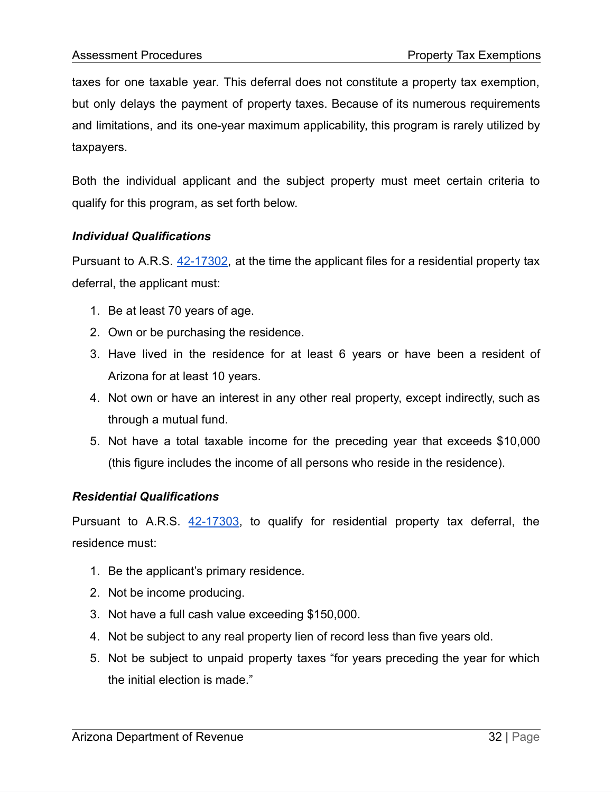taxes for one taxable year. This deferral does not constitute a property tax exemption, but only delays the payment of property taxes. Because of its numerous requirements and limitations, and its one-year maximum applicability, this program is rarely utilized by taxpayers.

Both the individual applicant and the subject property must meet certain criteria to qualify for this program, as set forth below.

#### *Individual Qualifications*

Pursuant to A.R.S. [42-17302,](https://www.azleg.gov/viewdocument/?docName=https://www.azleg.gov/ars/42/17302.htm) at the time the applicant files for a residential property tax deferral, the applicant must:

- 1. Be at least 70 years of age.
- 2. Own or be purchasing the residence.
- 3. Have lived in the residence for at least 6 years or have been a resident of Arizona for at least 10 years.
- 4. Not own or have an interest in any other real property, except indirectly, such as through a mutual fund.
- 5. Not have a total taxable income for the preceding year that exceeds \$10,000 (this figure includes the income of all persons who reside in the residence).

#### *Residential Qualifications*

Pursuant to A.R.S. [42-17303,](https://www.azleg.gov/viewdocument/?docName=https://www.azleg.gov/ars/42/17303.htm) to qualify for residential property tax deferral, the residence must:

- 1. Be the applicant's primary residence.
- 2. Not be income producing.
- 3. Not have a full cash value exceeding \$150,000.
- 4. Not be subject to any real property lien of record less than five years old.
- 5. Not be subject to unpaid property taxes "for years preceding the year for which the initial election is made."